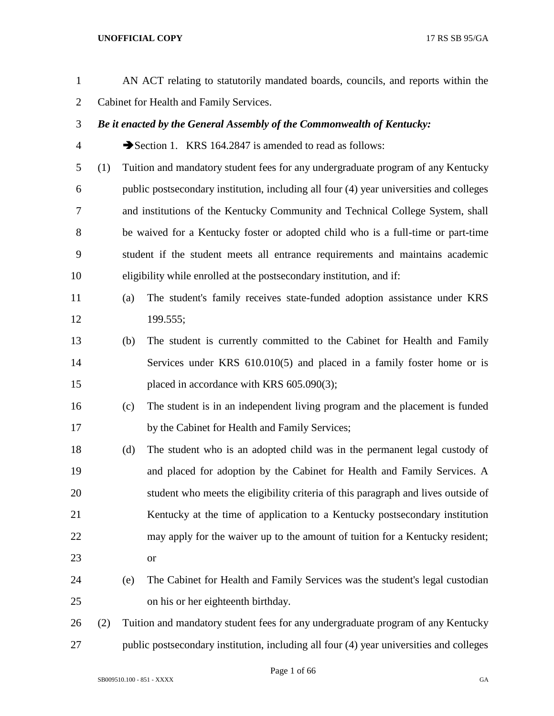| $\mathbf{1}$   |     |                                         | AN ACT relating to statutorily mandated boards, councils, and reports within the        |  |
|----------------|-----|-----------------------------------------|-----------------------------------------------------------------------------------------|--|
| $\overline{2}$ |     | Cabinet for Health and Family Services. |                                                                                         |  |
| 3              |     |                                         | Be it enacted by the General Assembly of the Commonwealth of Kentucky:                  |  |
| 4              |     |                                         | Section 1. KRS 164.2847 is amended to read as follows:                                  |  |
| 5              | (1) |                                         | Tuition and mandatory student fees for any undergraduate program of any Kentucky        |  |
| 6              |     |                                         | public postsecondary institution, including all four (4) year universities and colleges |  |
| 7              |     |                                         | and institutions of the Kentucky Community and Technical College System, shall          |  |
| 8              |     |                                         | be waived for a Kentucky foster or adopted child who is a full-time or part-time        |  |
| 9              |     |                                         | student if the student meets all entrance requirements and maintains academic           |  |
| 10             |     |                                         | eligibility while enrolled at the postsecondary institution, and if:                    |  |
| 11             |     | (a)                                     | The student's family receives state-funded adoption assistance under KRS                |  |
| 12             |     |                                         | 199.555;                                                                                |  |
| 13             |     | (b)                                     | The student is currently committed to the Cabinet for Health and Family                 |  |
| 14             |     |                                         | Services under KRS 610.010(5) and placed in a family foster home or is                  |  |
| 15             |     |                                         | placed in accordance with KRS 605.090(3);                                               |  |
| 16             |     | (c)                                     | The student is in an independent living program and the placement is funded             |  |
| 17             |     |                                         | by the Cabinet for Health and Family Services;                                          |  |
| 18             |     | (d)                                     | The student who is an adopted child was in the permanent legal custody of               |  |
| 19             |     |                                         | and placed for adoption by the Cabinet for Health and Family Services. A                |  |
| 20             |     |                                         | student who meets the eligibility criteria of this paragraph and lives outside of       |  |
| 21             |     |                                         | Kentucky at the time of application to a Kentucky postsecondary institution             |  |
| 22             |     |                                         | may apply for the waiver up to the amount of tuition for a Kentucky resident;           |  |
| 23             |     |                                         | <b>or</b>                                                                               |  |
| 24             |     | (e)                                     | The Cabinet for Health and Family Services was the student's legal custodian            |  |
| 25             |     |                                         | on his or her eighteenth birthday.                                                      |  |
| 26             | (2) |                                         | Tuition and mandatory student fees for any undergraduate program of any Kentucky        |  |
| 27             |     |                                         | public postsecondary institution, including all four (4) year universities and colleges |  |

Page 1 of 66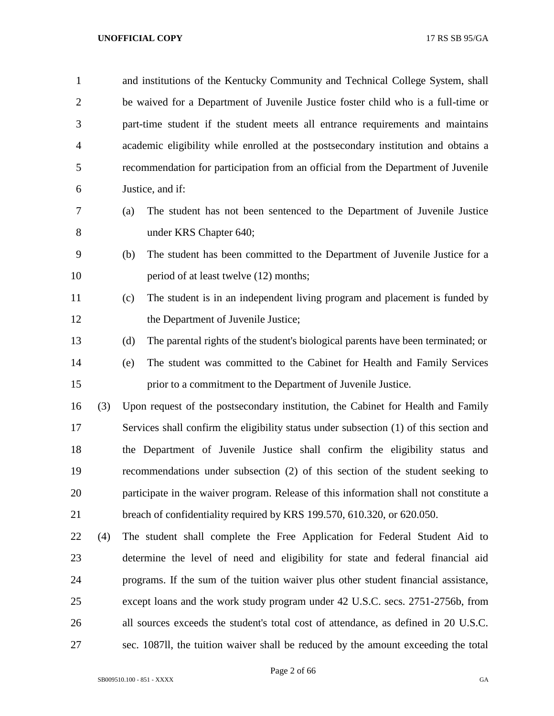| $\mathbf{1}$   |     | and institutions of the Kentucky Community and Technical College System, shall          |
|----------------|-----|-----------------------------------------------------------------------------------------|
| $\overline{2}$ |     | be waived for a Department of Juvenile Justice foster child who is a full-time or       |
| 3              |     | part-time student if the student meets all entrance requirements and maintains          |
| 4              |     | academic eligibility while enrolled at the postsecondary institution and obtains a      |
| 5              |     | recommendation for participation from an official from the Department of Juvenile       |
| 6              |     | Justice, and if:                                                                        |
| 7              |     | The student has not been sentenced to the Department of Juvenile Justice<br>(a)         |
| 8              |     | under KRS Chapter 640;                                                                  |
| 9              |     | (b)<br>The student has been committed to the Department of Juvenile Justice for a       |
| 10             |     | period of at least twelve (12) months;                                                  |
| 11             |     | The student is in an independent living program and placement is funded by<br>(c)       |
| 12             |     | the Department of Juvenile Justice;                                                     |
| 13             |     | (d)<br>The parental rights of the student's biological parents have been terminated; or |
| 14             |     | The student was committed to the Cabinet for Health and Family Services<br>(e)          |
| 15             |     | prior to a commitment to the Department of Juvenile Justice.                            |
| 16             | (3) | Upon request of the postsecondary institution, the Cabinet for Health and Family        |
| 17             |     | Services shall confirm the eligibility status under subsection (1) of this section and  |
| 18             |     | the Department of Juvenile Justice shall confirm the eligibility status and             |
| 19             |     | recommendations under subsection (2) of this section of the student seeking to          |
| 20             |     | participate in the waiver program. Release of this information shall not constitute a   |
| 21             |     | breach of confidentiality required by KRS 199.570, 610.320, or 620.050.                 |
| 22             | (4) | The student shall complete the Free Application for Federal Student Aid to              |
| 23             |     | determine the level of need and eligibility for state and federal financial aid         |
| 24             |     | programs. If the sum of the tuition waiver plus other student financial assistance,     |
| 25             |     | except loans and the work study program under 42 U.S.C. secs. 2751-2756b, from          |
| 26             |     | all sources exceeds the student's total cost of attendance, as defined in 20 U.S.C.     |
| 27             |     | sec. 1087II, the tuition waiver shall be reduced by the amount exceeding the total      |

Page 2 of 66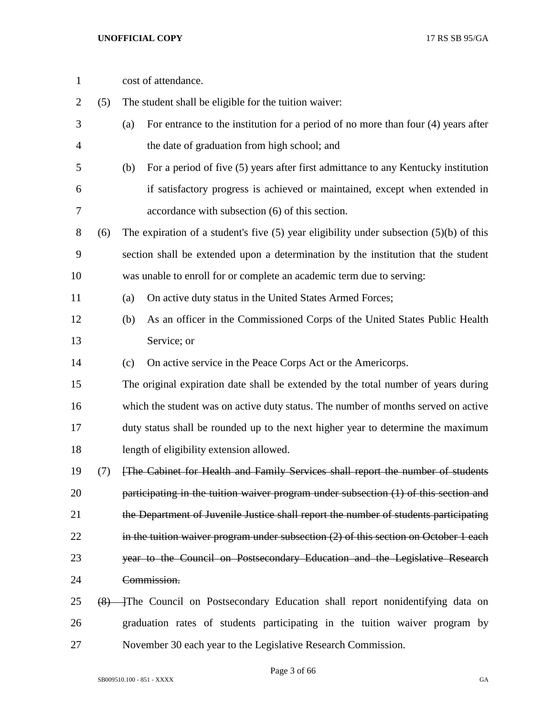| $\mathbf{1}$   |     | cost of attendance.                                                                         |
|----------------|-----|---------------------------------------------------------------------------------------------|
| $\overline{2}$ | (5) | The student shall be eligible for the tuition waiver:                                       |
| 3              |     | For entrance to the institution for a period of no more than four (4) years after<br>(a)    |
| $\overline{4}$ |     | the date of graduation from high school; and                                                |
| 5              |     | For a period of five (5) years after first admittance to any Kentucky institution<br>(b)    |
| 6              |     | if satisfactory progress is achieved or maintained, except when extended in                 |
| 7              |     | accordance with subsection (6) of this section.                                             |
| 8              | (6) | The expiration of a student's five $(5)$ year eligibility under subsection $(5)(b)$ of this |
| 9              |     | section shall be extended upon a determination by the institution that the student          |
| 10             |     | was unable to enroll for or complete an academic term due to serving:                       |
| 11             |     | On active duty status in the United States Armed Forces;<br>(a)                             |
| 12             |     | As an officer in the Commissioned Corps of the United States Public Health<br>(b)           |
| 13             |     | Service; or                                                                                 |
| 14             |     | On active service in the Peace Corps Act or the Americorps.<br>(c)                          |
| 15             |     | The original expiration date shall be extended by the total number of years during          |
| 16             |     | which the student was on active duty status. The number of months served on active          |
| 17             |     | duty status shall be rounded up to the next higher year to determine the maximum            |
| 18             |     | length of eligibility extension allowed.                                                    |
| 19             | (7) | [The Cabinet for Health and Family Services shall report the number of students             |
| 20             |     | participating in the tuition waiver program under subsection (1) of this section and        |
| 21             |     | the Department of Juvenile Justice shall report the number of students participating        |
| 22             |     | in the tuition waiver program under subsection $(2)$ of this section on October 1 each      |
| 23             |     | year to the Council on Postsecondary Education and the Legislative Research                 |
| 24             |     | Commission.                                                                                 |
| 25             |     | (8) The Council on Postsecondary Education shall report nonidentifying data on              |
| 26             |     | graduation rates of students participating in the tuition waiver program by                 |
| 27             |     | November 30 each year to the Legislative Research Commission.                               |

Page 3 of 66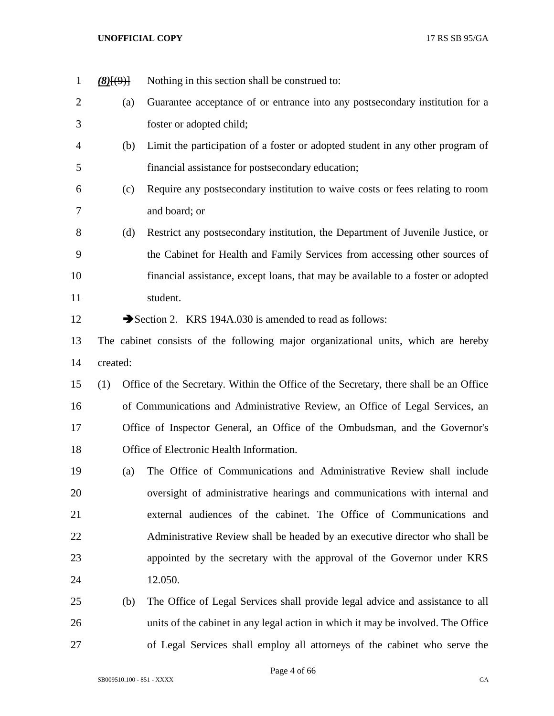| $\mathbf{1}$   | (8)(9)   | Nothing in this section shall be construed to:                                        |
|----------------|----------|---------------------------------------------------------------------------------------|
| $\overline{2}$ | (a)      | Guarantee acceptance of or entrance into any postsecondary institution for a          |
| 3              |          | foster or adopted child;                                                              |
| $\overline{4}$ | (b)      | Limit the participation of a foster or adopted student in any other program of        |
| 5              |          | financial assistance for postsecondary education;                                     |
| 6              | (c)      | Require any postsecondary institution to waive costs or fees relating to room         |
| $\overline{7}$ |          | and board; or                                                                         |
| 8              | (d)      | Restrict any postsecondary institution, the Department of Juvenile Justice, or        |
| 9              |          | the Cabinet for Health and Family Services from accessing other sources of            |
| 10             |          | financial assistance, except loans, that may be available to a foster or adopted      |
| 11             |          | student.                                                                              |
| 12             |          | Section 2. KRS 194A.030 is amended to read as follows:                                |
| 13             |          | The cabinet consists of the following major organizational units, which are hereby    |
| 14             | created: |                                                                                       |
| 15             | (1)      | Office of the Secretary. Within the Office of the Secretary, there shall be an Office |
| 16             |          | of Communications and Administrative Review, an Office of Legal Services, an          |
| 17             |          | Office of Inspector General, an Office of the Ombudsman, and the Governor's           |
| 18             |          | Office of Electronic Health Information.                                              |
| 19             | (a)      | The Office of Communications and Administrative Review shall include                  |
| 20             |          | oversight of administrative hearings and communications with internal and             |
| 21             |          | external audiences of the cabinet. The Office of Communications and                   |
| 22             |          | Administrative Review shall be headed by an executive director who shall be           |
| 23             |          | appointed by the secretary with the approval of the Governor under KRS                |
| 24             |          | 12.050.                                                                               |
| 25             | (b)      | The Office of Legal Services shall provide legal advice and assistance to all         |
| 26             |          | units of the cabinet in any legal action in which it may be involved. The Office      |
| 27             |          | of Legal Services shall employ all attorneys of the cabinet who serve the             |

Page 4 of 66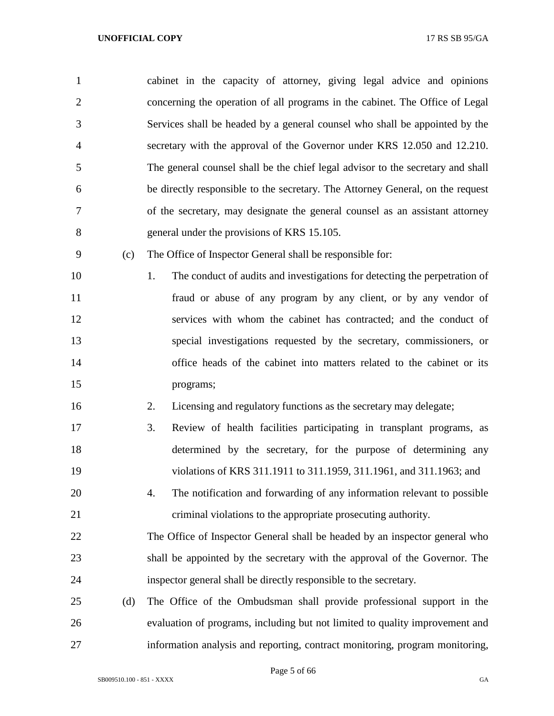cabinet in the capacity of attorney, giving legal advice and opinions concerning the operation of all programs in the cabinet. The Office of Legal Services shall be headed by a general counsel who shall be appointed by the secretary with the approval of the Governor under KRS 12.050 and 12.210. The general counsel shall be the chief legal advisor to the secretary and shall be directly responsible to the secretary. The Attorney General, on the request of the secretary, may designate the general counsel as an assistant attorney general under the provisions of KRS 15.105. (c) The Office of Inspector General shall be responsible for: 10 1. The conduct of audits and investigations for detecting the perpetration of fraud or abuse of any program by any client, or by any vendor of services with whom the cabinet has contracted; and the conduct of special investigations requested by the secretary, commissioners, or office heads of the cabinet into matters related to the cabinet or its programs; 2. Licensing and regulatory functions as the secretary may delegate; 3. Review of health facilities participating in transplant programs, as determined by the secretary, for the purpose of determining any violations of KRS 311.1911 to 311.1959, 311.1961, and 311.1963; and 4. The notification and forwarding of any information relevant to possible criminal violations to the appropriate prosecuting authority. The Office of Inspector General shall be headed by an inspector general who shall be appointed by the secretary with the approval of the Governor. The inspector general shall be directly responsible to the secretary. (d) The Office of the Ombudsman shall provide professional support in the evaluation of programs, including but not limited to quality improvement and

information analysis and reporting, contract monitoring, program monitoring,

Page 5 of 66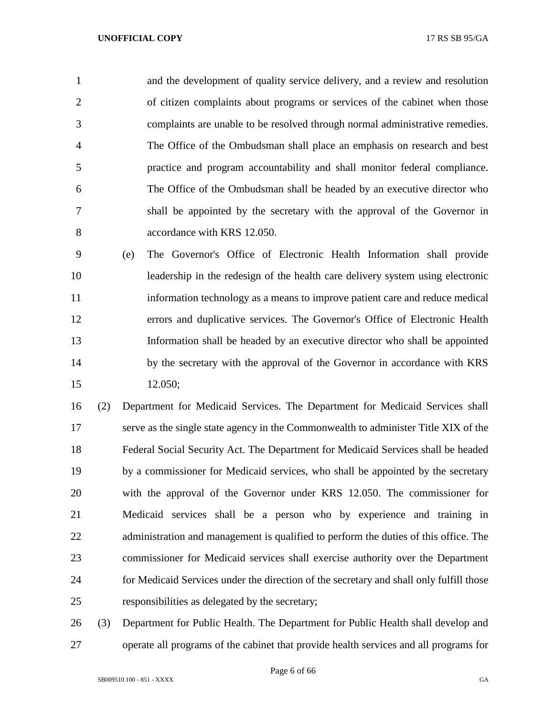and the development of quality service delivery, and a review and resolution of citizen complaints about programs or services of the cabinet when those complaints are unable to be resolved through normal administrative remedies. The Office of the Ombudsman shall place an emphasis on research and best practice and program accountability and shall monitor federal compliance. The Office of the Ombudsman shall be headed by an executive director who shall be appointed by the secretary with the approval of the Governor in accordance with KRS 12.050.

 (e) The Governor's Office of Electronic Health Information shall provide leadership in the redesign of the health care delivery system using electronic information technology as a means to improve patient care and reduce medical errors and duplicative services. The Governor's Office of Electronic Health Information shall be headed by an executive director who shall be appointed 14 by the secretary with the approval of the Governor in accordance with KRS 12.050;

 (2) Department for Medicaid Services. The Department for Medicaid Services shall serve as the single state agency in the Commonwealth to administer Title XIX of the Federal Social Security Act. The Department for Medicaid Services shall be headed by a commissioner for Medicaid services, who shall be appointed by the secretary with the approval of the Governor under KRS 12.050. The commissioner for Medicaid services shall be a person who by experience and training in 22 administration and management is qualified to perform the duties of this office. The commissioner for Medicaid services shall exercise authority over the Department for Medicaid Services under the direction of the secretary and shall only fulfill those responsibilities as delegated by the secretary;

 (3) Department for Public Health. The Department for Public Health shall develop and operate all programs of the cabinet that provide health services and all programs for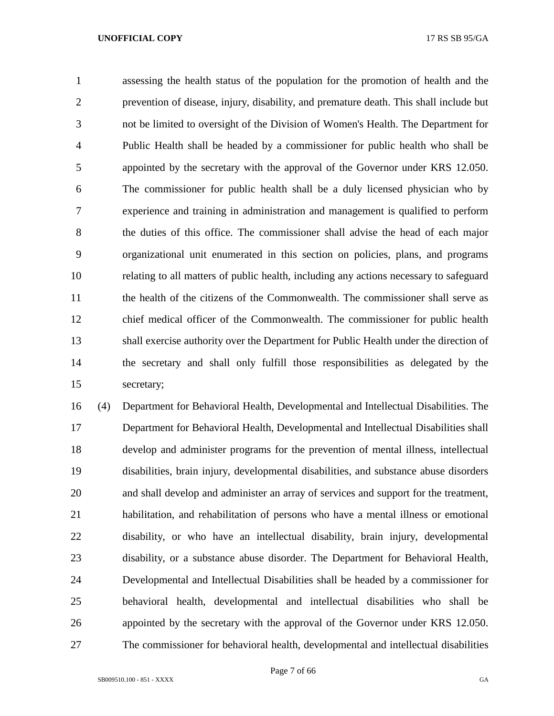assessing the health status of the population for the promotion of health and the prevention of disease, injury, disability, and premature death. This shall include but not be limited to oversight of the Division of Women's Health. The Department for Public Health shall be headed by a commissioner for public health who shall be appointed by the secretary with the approval of the Governor under KRS 12.050. The commissioner for public health shall be a duly licensed physician who by experience and training in administration and management is qualified to perform the duties of this office. The commissioner shall advise the head of each major organizational unit enumerated in this section on policies, plans, and programs relating to all matters of public health, including any actions necessary to safeguard the health of the citizens of the Commonwealth. The commissioner shall serve as chief medical officer of the Commonwealth. The commissioner for public health shall exercise authority over the Department for Public Health under the direction of the secretary and shall only fulfill those responsibilities as delegated by the secretary;

 (4) Department for Behavioral Health, Developmental and Intellectual Disabilities. The Department for Behavioral Health, Developmental and Intellectual Disabilities shall develop and administer programs for the prevention of mental illness, intellectual disabilities, brain injury, developmental disabilities, and substance abuse disorders and shall develop and administer an array of services and support for the treatment, habilitation, and rehabilitation of persons who have a mental illness or emotional disability, or who have an intellectual disability, brain injury, developmental disability, or a substance abuse disorder. The Department for Behavioral Health, Developmental and Intellectual Disabilities shall be headed by a commissioner for behavioral health, developmental and intellectual disabilities who shall be appointed by the secretary with the approval of the Governor under KRS 12.050. The commissioner for behavioral health, developmental and intellectual disabilities

Page 7 of 66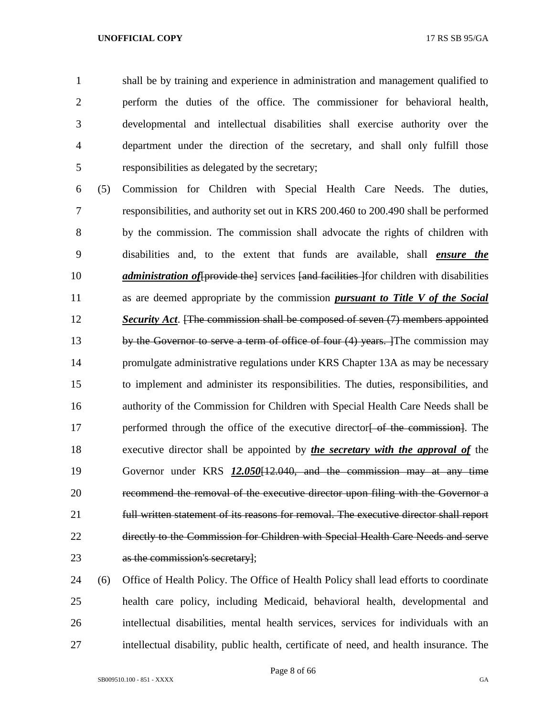shall be by training and experience in administration and management qualified to perform the duties of the office. The commissioner for behavioral health, developmental and intellectual disabilities shall exercise authority over the department under the direction of the secretary, and shall only fulfill those responsibilities as delegated by the secretary;

 (5) Commission for Children with Special Health Care Needs. The duties, responsibilities, and authority set out in KRS 200.460 to 200.490 shall be performed by the commission. The commission shall advocate the rights of children with disabilities and, to the extent that funds are available, shall *ensure the administration of* [provide the] services [and facilities ] for children with disabilities as are deemed appropriate by the commission *pursuant to Title V of the Social Security Act*. [The commission shall be composed of seven (7) members appointed 13 by the Governor to serve a term of office of four (4) years. The commission may promulgate administrative regulations under KRS Chapter 13A as may be necessary to implement and administer its responsibilities. The duties, responsibilities, and authority of the Commission for Children with Special Health Care Needs shall be 17 performed through the office of the executive director of the commission. The executive director shall be appointed by *the secretary with the approval of* the Governor under KRS *12.050*[12.040, and the commission may at any time recommend the removal of the executive director upon filing with the Governor a full written statement of its reasons for removal. The executive director shall report directly to the Commission for Children with Special Health Care Needs and serve as the commission's secretary];

 (6) Office of Health Policy. The Office of Health Policy shall lead efforts to coordinate health care policy, including Medicaid, behavioral health, developmental and intellectual disabilities, mental health services, services for individuals with an intellectual disability, public health, certificate of need, and health insurance. The

Page 8 of 66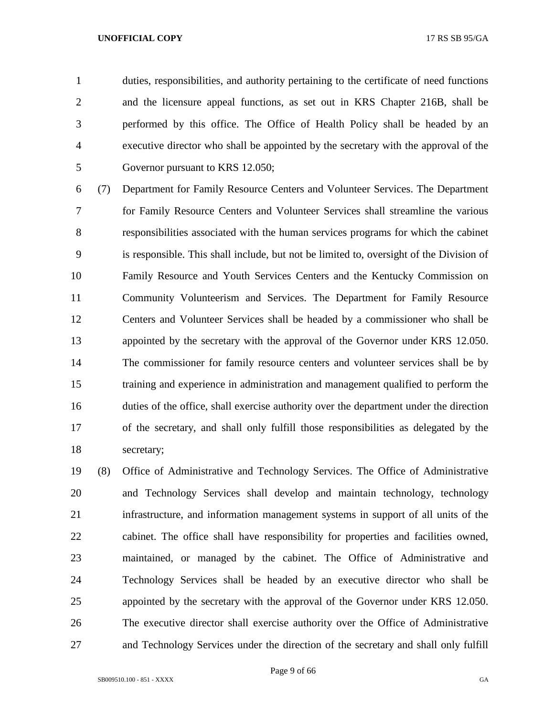duties, responsibilities, and authority pertaining to the certificate of need functions and the licensure appeal functions, as set out in KRS Chapter 216B, shall be performed by this office. The Office of Health Policy shall be headed by an executive director who shall be appointed by the secretary with the approval of the Governor pursuant to KRS 12.050;

 (7) Department for Family Resource Centers and Volunteer Services. The Department for Family Resource Centers and Volunteer Services shall streamline the various responsibilities associated with the human services programs for which the cabinet is responsible. This shall include, but not be limited to, oversight of the Division of Family Resource and Youth Services Centers and the Kentucky Commission on Community Volunteerism and Services. The Department for Family Resource Centers and Volunteer Services shall be headed by a commissioner who shall be appointed by the secretary with the approval of the Governor under KRS 12.050. The commissioner for family resource centers and volunteer services shall be by training and experience in administration and management qualified to perform the duties of the office, shall exercise authority over the department under the direction of the secretary, and shall only fulfill those responsibilities as delegated by the secretary;

 (8) Office of Administrative and Technology Services. The Office of Administrative and Technology Services shall develop and maintain technology, technology infrastructure, and information management systems in support of all units of the cabinet. The office shall have responsibility for properties and facilities owned, maintained, or managed by the cabinet. The Office of Administrative and Technology Services shall be headed by an executive director who shall be appointed by the secretary with the approval of the Governor under KRS 12.050. The executive director shall exercise authority over the Office of Administrative and Technology Services under the direction of the secretary and shall only fulfill

Page 9 of 66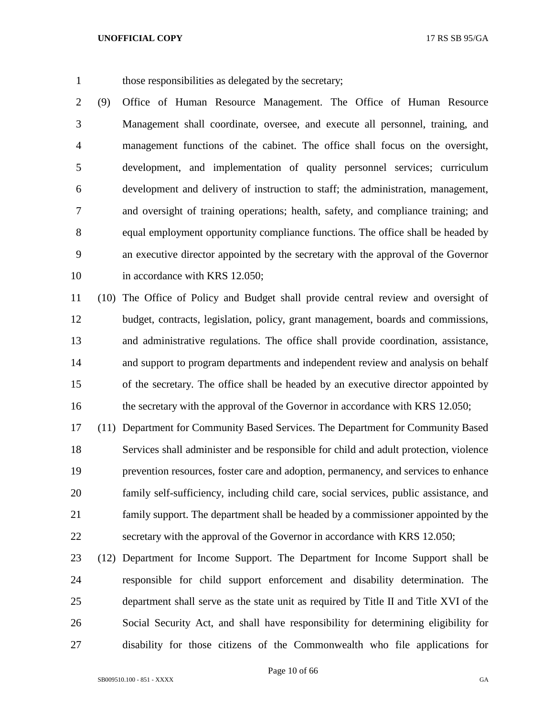those responsibilities as delegated by the secretary;

 (9) Office of Human Resource Management. The Office of Human Resource Management shall coordinate, oversee, and execute all personnel, training, and management functions of the cabinet. The office shall focus on the oversight, development, and implementation of quality personnel services; curriculum development and delivery of instruction to staff; the administration, management, and oversight of training operations; health, safety, and compliance training; and equal employment opportunity compliance functions. The office shall be headed by an executive director appointed by the secretary with the approval of the Governor 10 in accordance with KRS 12.050;

 (10) The Office of Policy and Budget shall provide central review and oversight of budget, contracts, legislation, policy, grant management, boards and commissions, and administrative regulations. The office shall provide coordination, assistance, and support to program departments and independent review and analysis on behalf of the secretary. The office shall be headed by an executive director appointed by 16 the secretary with the approval of the Governor in accordance with KRS 12.050;

 (11) Department for Community Based Services. The Department for Community Based Services shall administer and be responsible for child and adult protection, violence prevention resources, foster care and adoption, permanency, and services to enhance family self-sufficiency, including child care, social services, public assistance, and family support. The department shall be headed by a commissioner appointed by the secretary with the approval of the Governor in accordance with KRS 12.050;

 (12) Department for Income Support. The Department for Income Support shall be responsible for child support enforcement and disability determination. The department shall serve as the state unit as required by Title II and Title XVI of the Social Security Act, and shall have responsibility for determining eligibility for disability for those citizens of the Commonwealth who file applications for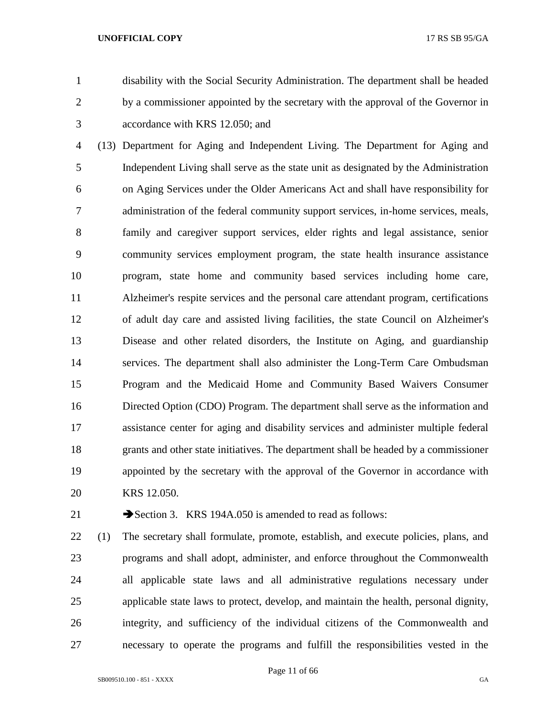disability with the Social Security Administration. The department shall be headed by a commissioner appointed by the secretary with the approval of the Governor in accordance with KRS 12.050; and

 (13) Department for Aging and Independent Living. The Department for Aging and Independent Living shall serve as the state unit as designated by the Administration on Aging Services under the Older Americans Act and shall have responsibility for administration of the federal community support services, in-home services, meals, family and caregiver support services, elder rights and legal assistance, senior community services employment program, the state health insurance assistance program, state home and community based services including home care, Alzheimer's respite services and the personal care attendant program, certifications of adult day care and assisted living facilities, the state Council on Alzheimer's Disease and other related disorders, the Institute on Aging, and guardianship services. The department shall also administer the Long-Term Care Ombudsman Program and the Medicaid Home and Community Based Waivers Consumer Directed Option (CDO) Program. The department shall serve as the information and assistance center for aging and disability services and administer multiple federal grants and other state initiatives. The department shall be headed by a commissioner appointed by the secretary with the approval of the Governor in accordance with KRS 12.050.

21 Section 3. KRS 194A.050 is amended to read as follows:

 (1) The secretary shall formulate, promote, establish, and execute policies, plans, and programs and shall adopt, administer, and enforce throughout the Commonwealth all applicable state laws and all administrative regulations necessary under applicable state laws to protect, develop, and maintain the health, personal dignity, integrity, and sufficiency of the individual citizens of the Commonwealth and necessary to operate the programs and fulfill the responsibilities vested in the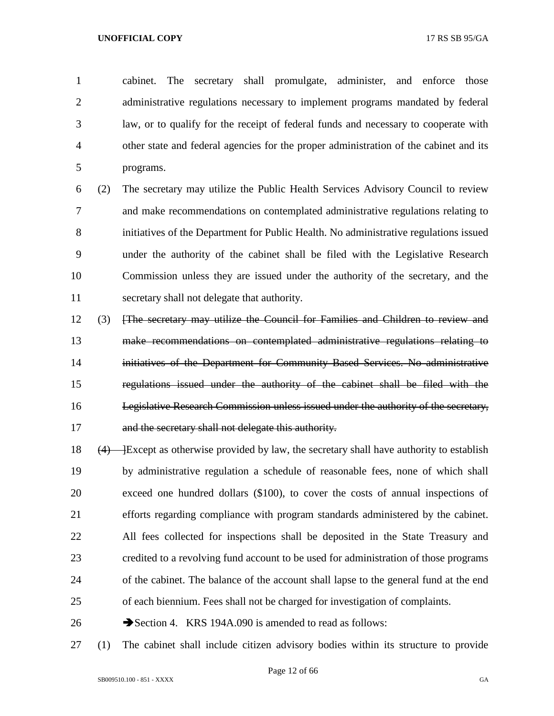cabinet. The secretary shall promulgate, administer, and enforce those administrative regulations necessary to implement programs mandated by federal law, or to qualify for the receipt of federal funds and necessary to cooperate with other state and federal agencies for the proper administration of the cabinet and its programs.

 (2) The secretary may utilize the Public Health Services Advisory Council to review and make recommendations on contemplated administrative regulations relating to initiatives of the Department for Public Health. No administrative regulations issued under the authority of the cabinet shall be filed with the Legislative Research Commission unless they are issued under the authority of the secretary, and the secretary shall not delegate that authority.

- (3) [The secretary may utilize the Council for Families and Children to review and make recommendations on contemplated administrative regulations relating to initiatives of the Department for Community Based Services. No administrative regulations issued under the authority of the cabinet shall be filed with the Legislative Research Commission unless issued under the authority of the secretary, 17 and the secretary shall not delegate this authority.
- 18  $(4)$  Except as otherwise provided by law, the secretary shall have authority to establish by administrative regulation a schedule of reasonable fees, none of which shall exceed one hundred dollars (\$100), to cover the costs of annual inspections of efforts regarding compliance with program standards administered by the cabinet. All fees collected for inspections shall be deposited in the State Treasury and credited to a revolving fund account to be used for administration of those programs of the cabinet. The balance of the account shall lapse to the general fund at the end of each biennium. Fees shall not be charged for investigation of complaints.
- 26 Section 4. KRS 194A.090 is amended to read as follows:
- (1) The cabinet shall include citizen advisory bodies within its structure to provide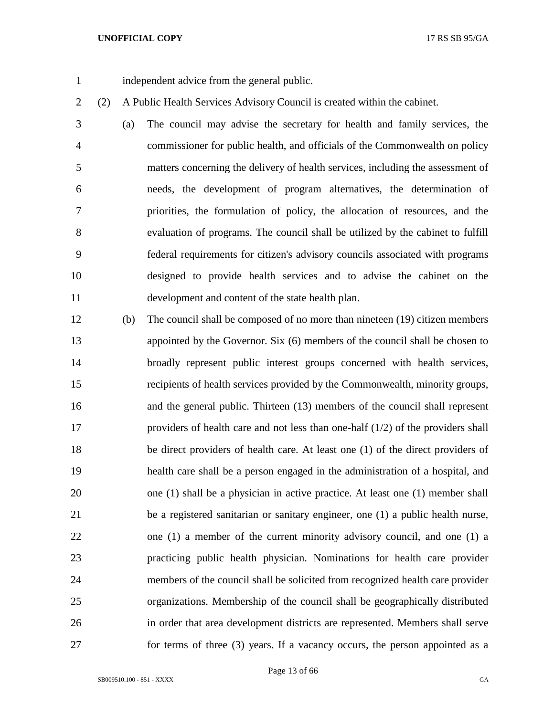independent advice from the general public.

(2) A Public Health Services Advisory Council is created within the cabinet.

 (a) The council may advise the secretary for health and family services, the commissioner for public health, and officials of the Commonwealth on policy matters concerning the delivery of health services, including the assessment of needs, the development of program alternatives, the determination of priorities, the formulation of policy, the allocation of resources, and the evaluation of programs. The council shall be utilized by the cabinet to fulfill federal requirements for citizen's advisory councils associated with programs designed to provide health services and to advise the cabinet on the development and content of the state health plan.

 (b) The council shall be composed of no more than nineteen (19) citizen members appointed by the Governor. Six (6) members of the council shall be chosen to broadly represent public interest groups concerned with health services, recipients of health services provided by the Commonwealth, minority groups, and the general public. Thirteen (13) members of the council shall represent providers of health care and not less than one-half (1/2) of the providers shall be direct providers of health care. At least one (1) of the direct providers of health care shall be a person engaged in the administration of a hospital, and one (1) shall be a physician in active practice. At least one (1) member shall be a registered sanitarian or sanitary engineer, one (1) a public health nurse, one (1) a member of the current minority advisory council, and one (1) a practicing public health physician. Nominations for health care provider members of the council shall be solicited from recognized health care provider organizations. Membership of the council shall be geographically distributed in order that area development districts are represented. Members shall serve for terms of three (3) years. If a vacancy occurs, the person appointed as a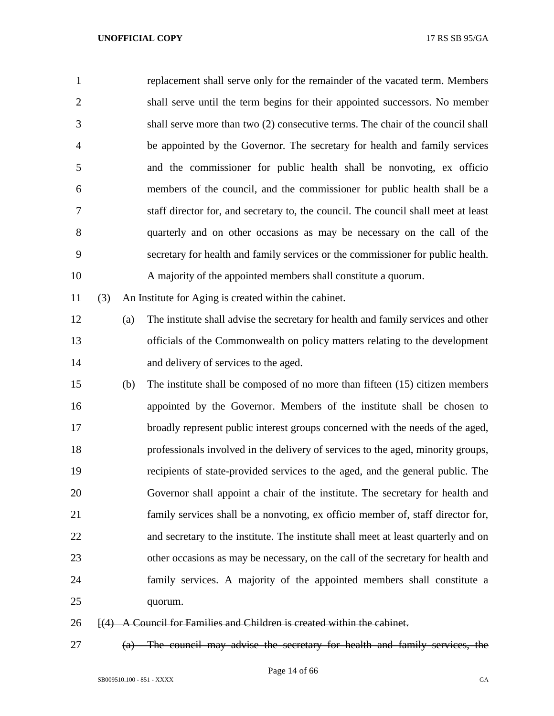| $\mathbf{1}$   |        |     | replacement shall serve only for the remainder of the vacated term. Members        |
|----------------|--------|-----|------------------------------------------------------------------------------------|
| $\overline{2}$ |        |     | shall serve until the term begins for their appointed successors. No member        |
| 3              |        |     | shall serve more than two (2) consecutive terms. The chair of the council shall    |
| $\overline{4}$ |        |     | be appointed by the Governor. The secretary for health and family services         |
| 5              |        |     | and the commissioner for public health shall be nonvoting, ex officio              |
| 6              |        |     | members of the council, and the commissioner for public health shall be a          |
| 7              |        |     | staff director for, and secretary to, the council. The council shall meet at least |
| 8              |        |     | quarterly and on other occasions as may be necessary on the call of the            |
| 9              |        |     | secretary for health and family services or the commissioner for public health.    |
| 10             |        |     | A majority of the appointed members shall constitute a quorum.                     |
| 11             | (3)    |     | An Institute for Aging is created within the cabinet.                              |
| 12             |        | (a) | The institute shall advise the secretary for health and family services and other  |
| 13             |        |     | officials of the Commonwealth on policy matters relating to the development        |
| 14             |        |     | and delivery of services to the aged.                                              |
| 15             |        | (b) | The institute shall be composed of no more than fifteen (15) citizen members       |
| 16             |        |     | appointed by the Governor. Members of the institute shall be chosen to             |
| 17             |        |     | broadly represent public interest groups concerned with the needs of the aged,     |
| 18             |        |     | professionals involved in the delivery of services to the aged, minority groups,   |
| 19             |        |     | recipients of state-provided services to the aged, and the general public. The     |
| 20             |        |     | Governor shall appoint a chair of the institute. The secretary for health and      |
| 21             |        |     | family services shall be a nonvoting, ex officio member of, staff director for,    |
| 22             |        |     | and secretary to the institute. The institute shall meet at least quarterly and on |
| 23             |        |     | other occasions as may be necessary, on the call of the secretary for health and   |
| 24             |        |     | family services. A majority of the appointed members shall constitute a            |
| 25             |        |     | quorum.                                                                            |
| 26             | $+(4)$ |     | A Council for Families and Children is created within the cabinet.                 |

(a) The council may advise the secretary for health and family services, the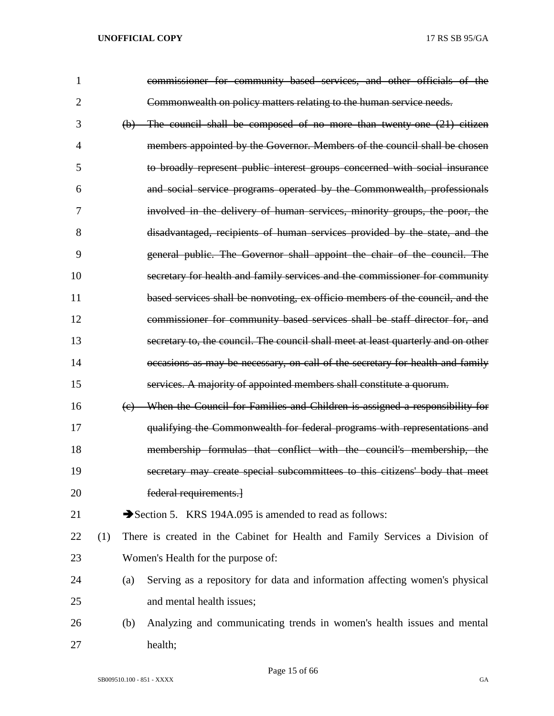| $\mathbf{1}$ |     |     | commissioner for community based services, and other officials of the             |
|--------------|-----|-----|-----------------------------------------------------------------------------------|
| 2            |     |     | Commonwealth on policy matters relating to the human service needs.               |
| 3            |     |     | $(b)$ The council shall be composed of no more than twenty one $(21)$ citizen     |
| 4            |     |     | members appointed by the Governor. Members of the council shall be chosen         |
| 5            |     |     | to broadly represent public interest groups concerned with social insurance       |
| 6            |     |     | and social service programs operated by the Commonwealth, professionals           |
| 7            |     |     | involved in the delivery of human services, minority groups, the poor, the        |
| 8            |     |     | disadvantaged, recipients of human services provided by the state, and the        |
| 9            |     |     | general public. The Governor shall appoint the chair of the council. The          |
| 10           |     |     | secretary for health and family services and the commissioner for community       |
| 11           |     |     | based services shall be nonvoting, ex officio members of the council, and the     |
| 12           |     |     | commissioner for community based services shall be staff director for, and        |
| 13           |     |     | secretary to, the council. The council shall meet at least quarterly and on other |
| 14           |     |     | occasions as may be necessary, on call of the secretary for health and family     |
| 15           |     |     | services. A majority of appointed members shall constitute a quorum.              |
| 16           |     | (e) | When the Council for Families and Children is assigned a responsibility for       |
| 17           |     |     | qualifying the Commonwealth for federal programs with representations and         |
| 18           |     |     | membership formulas that conflict with the council's membership, the              |
| 19           |     |     | secretary may create special subcommittees to this citizens' body that meet       |
| 20           |     |     | federal requirements.                                                             |
| 21           |     |     | Section 5. KRS 194A.095 is amended to read as follows:                            |
| 22           | (1) |     | There is created in the Cabinet for Health and Family Services a Division of      |
| 23           |     |     | Women's Health for the purpose of:                                                |
| 24           |     | (a) | Serving as a repository for data and information affecting women's physical       |
| 25           |     |     | and mental health issues;                                                         |
| 26           |     | (b) | Analyzing and communicating trends in women's health issues and mental            |
| 27           |     |     | health;                                                                           |

Page 15 of 66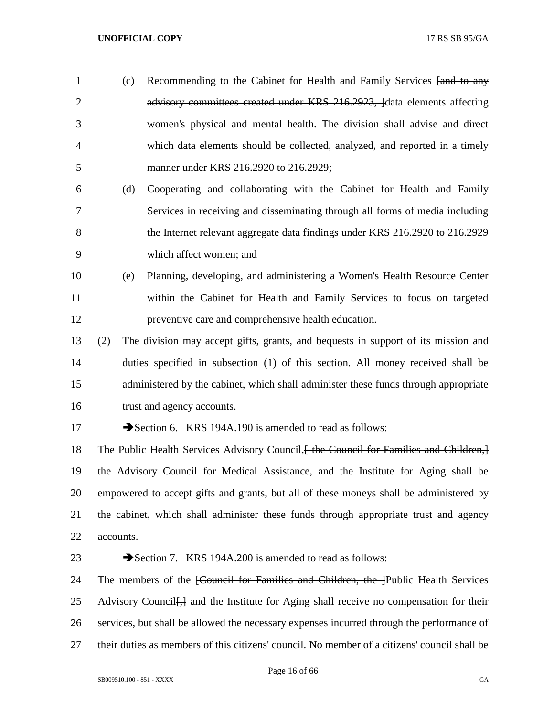- 1 (c) Recommending to the Cabinet for Health and Family Services [and to any 2 advisory committees created under KRS 216.2923, lata elements affecting women's physical and mental health. The division shall advise and direct which data elements should be collected, analyzed, and reported in a timely manner under KRS 216.2920 to 216.2929;
- (d) Cooperating and collaborating with the Cabinet for Health and Family Services in receiving and disseminating through all forms of media including 8 the Internet relevant aggregate data findings under KRS 216.2920 to 216.2929 which affect women; and
- (e) Planning, developing, and administering a Women's Health Resource Center within the Cabinet for Health and Family Services to focus on targeted preventive care and comprehensive health education.
- (2) The division may accept gifts, grants, and bequests in support of its mission and duties specified in subsection (1) of this section. All money received shall be administered by the cabinet, which shall administer these funds through appropriate trust and agency accounts.
- 

17 Section 6. KRS 194A.190 is amended to read as follows:

18 The Public Health Services Advisory Council, the Council for Families and Children, the Advisory Council for Medical Assistance, and the Institute for Aging shall be empowered to accept gifts and grants, but all of these moneys shall be administered by the cabinet, which shall administer these funds through appropriate trust and agency accounts.

# 23 Section 7. KRS 194A.200 is amended to read as follows:

24 The members of the <del>[Council for Families and Children, the ]</del>Public Health Services 25 Advisory Council <del>[,]</del> and the Institute for Aging shall receive no compensation for their services, but shall be allowed the necessary expenses incurred through the performance of their duties as members of this citizens' council. No member of a citizens' council shall be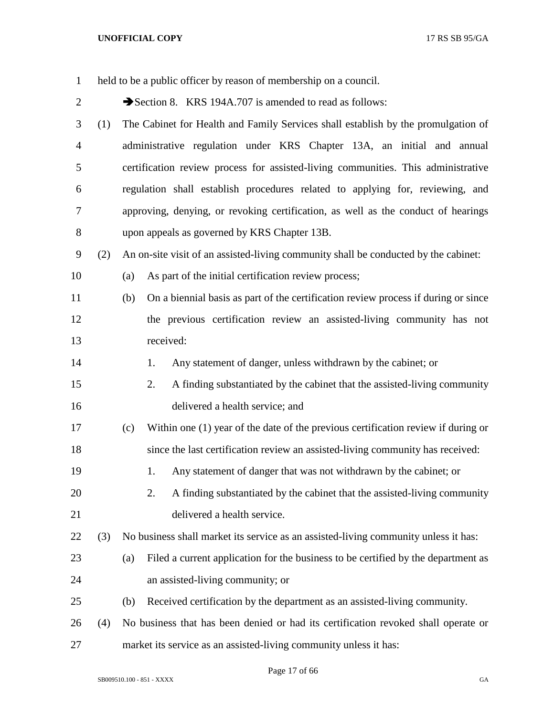| $\mathbf{1}$   |     | held to be a public officer by reason of membership on a council.                         |
|----------------|-----|-------------------------------------------------------------------------------------------|
| $\overline{c}$ |     | Section 8. KRS 194A.707 is amended to read as follows:                                    |
| 3              | (1) | The Cabinet for Health and Family Services shall establish by the promulgation of         |
| $\overline{4}$ |     | administrative regulation under KRS Chapter 13A, an initial and annual                    |
| 5              |     | certification review process for assisted-living communities. This administrative         |
| 6              |     | regulation shall establish procedures related to applying for, reviewing, and             |
| 7              |     | approving, denying, or revoking certification, as well as the conduct of hearings         |
| 8              |     | upon appeals as governed by KRS Chapter 13B.                                              |
| 9              | (2) | An on-site visit of an assisted-living community shall be conducted by the cabinet:       |
| 10             |     | As part of the initial certification review process;<br>(a)                               |
| 11             |     | On a biennial basis as part of the certification review process if during or since<br>(b) |
| 12             |     | the previous certification review an assisted-living community has not                    |
| 13             |     | received:                                                                                 |
| 14             |     | Any statement of danger, unless withdrawn by the cabinet; or<br>1.                        |
| 15             |     | A finding substantiated by the cabinet that the assisted-living community<br>2.           |
| 16             |     | delivered a health service; and                                                           |
| 17             |     | Within one (1) year of the date of the previous certification review if during or<br>(c)  |
| 18             |     | since the last certification review an assisted-living community has received:            |
| 19             |     | Any statement of danger that was not withdrawn by the cabinet; or<br>1.                   |
| 20             |     | 2.<br>A finding substantiated by the cabinet that the assisted-living community           |
| 21             |     | delivered a health service.                                                               |
| 22             | (3) | No business shall market its service as an assisted-living community unless it has:       |
| 23             |     | Filed a current application for the business to be certified by the department as<br>(a)  |
| 24             |     | an assisted-living community; or                                                          |
| 25             |     | Received certification by the department as an assisted-living community.<br>(b)          |
| 26             | (4) | No business that has been denied or had its certification revoked shall operate or        |
| 27             |     | market its service as an assisted-living community unless it has:                         |

Page 17 of 66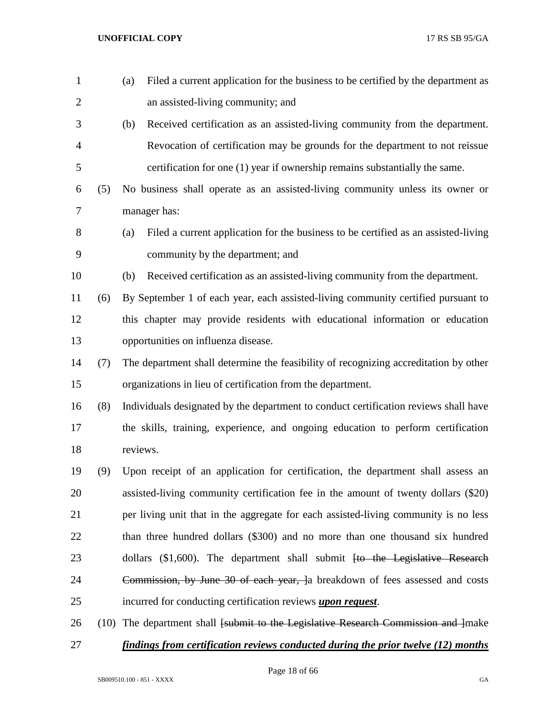| $\mathbf{1}$   |     | Filed a current application for the business to be certified by the department as<br>(a)  |
|----------------|-----|-------------------------------------------------------------------------------------------|
| $\overline{2}$ |     | an assisted-living community; and                                                         |
| 3              |     | Received certification as an assisted-living community from the department.<br>(b)        |
| $\overline{4}$ |     | Revocation of certification may be grounds for the department to not reissue              |
| 5              |     | certification for one (1) year if ownership remains substantially the same.               |
| 6              | (5) | No business shall operate as an assisted-living community unless its owner or             |
| 7              |     | manager has:                                                                              |
| $8\,$          |     | Filed a current application for the business to be certified as an assisted-living<br>(a) |
| 9              |     | community by the department; and                                                          |
| 10             |     | Received certification as an assisted-living community from the department.<br>(b)        |
| 11             | (6) | By September 1 of each year, each assisted-living community certified pursuant to         |
| 12             |     | this chapter may provide residents with educational information or education              |
| 13             |     | opportunities on influenza disease.                                                       |
| 14             | (7) | The department shall determine the feasibility of recognizing accreditation by other      |
| 15             |     | organizations in lieu of certification from the department.                               |
| 16             | (8) | Individuals designated by the department to conduct certification reviews shall have      |
| 17             |     | the skills, training, experience, and ongoing education to perform certification          |
| 18             |     | reviews.                                                                                  |
| 19             | (9) | Upon receipt of an application for certification, the department shall assess an          |
| 20             |     | assisted-living community certification fee in the amount of twenty dollars (\$20)        |
| 21             |     | per living unit that in the aggregate for each assisted-living community is no less       |
| 22             |     | than three hundred dollars (\$300) and no more than one thousand six hundred              |
| 23             |     | dollars (\$1,600). The department shall submit <del>[to the Legislative Research</del>    |
| 24             |     | Commission, by June 30 of each year, a breakdown of fees assessed and costs               |
| 25             |     | incurred for conducting certification reviews <i>upon request</i> .                       |
| 26             |     | (10) The department shall [submit to the Legislative Research Commission and ]make        |
| 27             |     | findings from certification reviews conducted during the prior twelve (12) months         |

Page 18 of 66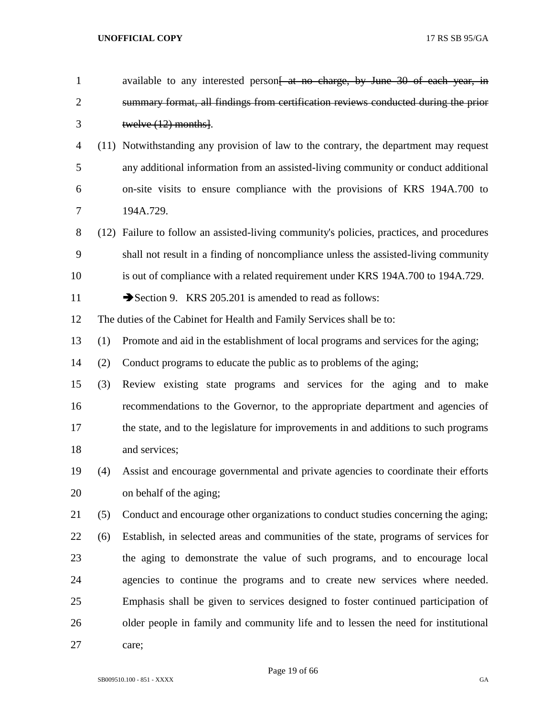| $\mathbf{1}$   |     | available to any interested person <del>[ at no charge, by June 30 of each year, in</del> |
|----------------|-----|-------------------------------------------------------------------------------------------|
| $\overline{c}$ |     | summary format, all findings from certification reviews conducted during the prior        |
| 3              |     | twelve $(12)$ months.                                                                     |
| 4              |     | (11) Notwithstanding any provision of law to the contrary, the department may request     |
| 5              |     | any additional information from an assisted-living community or conduct additional        |
| 6              |     | on-site visits to ensure compliance with the provisions of KRS 194A.700 to                |
| 7              |     | 194A.729.                                                                                 |
| 8              |     | (12) Failure to follow an assisted-living community's policies, practices, and procedures |
| 9              |     | shall not result in a finding of noncompliance unless the assisted-living community       |
| 10             |     | is out of compliance with a related requirement under KRS 194A.700 to 194A.729.           |
| 11             |     | Section 9. KRS 205.201 is amended to read as follows:                                     |
| 12             |     | The duties of the Cabinet for Health and Family Services shall be to:                     |
| 13             | (1) | Promote and aid in the establishment of local programs and services for the aging;        |
| 14             | (2) | Conduct programs to educate the public as to problems of the aging;                       |
| 15             | (3) | Review existing state programs and services for the aging and to make                     |
| 16             |     | recommendations to the Governor, to the appropriate department and agencies of            |
| 17             |     | the state, and to the legislature for improvements in and additions to such programs      |
| 18             |     | and services;                                                                             |
| 19             | (4) | Assist and encourage governmental and private agencies to coordinate their efforts        |
| 20             |     | on behalf of the aging;                                                                   |
| 21             | (5) | Conduct and encourage other organizations to conduct studies concerning the aging;        |
| 22             | (6) | Establish, in selected areas and communities of the state, programs of services for       |
| 23             |     | the aging to demonstrate the value of such programs, and to encourage local               |
| 24             |     | agencies to continue the programs and to create new services where needed.                |
| 25             |     | Emphasis shall be given to services designed to foster continued participation of         |
| 26             |     | older people in family and community life and to lessen the need for institutional        |
| 27             |     | care;                                                                                     |

Page 19 of 66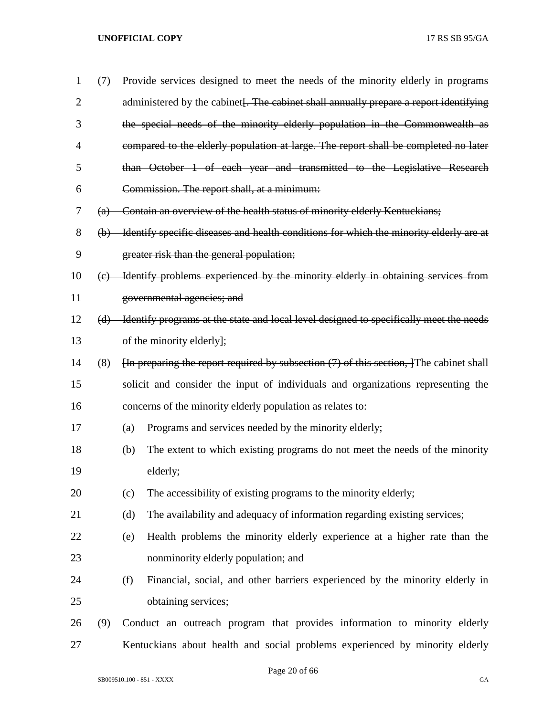| 1              | (7)               |     | Provide services designed to meet the needs of the minority elderly in programs                                  |
|----------------|-------------------|-----|------------------------------------------------------------------------------------------------------------------|
| $\overline{2}$ |                   |     | administered by the cabinet. The cabinet shall annually prepare a report identifying                             |
| 3              |                   |     | the special needs of the minority elderly population in the Commonwealth as                                      |
| 4              |                   |     | compared to the elderly population at large. The report shall be completed no later                              |
| 5              |                   |     | than October 1 of each year and transmitted to the Legislative Research                                          |
| 6              |                   |     | Commission. The report shall, at a minimum:                                                                      |
| 7              | $\left( a\right)$ |     | Contain an overview of the health status of minority elderly Kentuckians;                                        |
| 8              |                   |     | (b) Identify specific diseases and health conditions for which the minority elderly are at                       |
| 9              |                   |     | greater risk than the general population;                                                                        |
| 10             | (e)               |     | Hentify problems experienced by the minority elderly in obtaining services from                                  |
| 11             |                   |     | governmental agencies; and                                                                                       |
| 12             | (d)               |     | Identify programs at the state and local level designed to specifically meet the needs                           |
| 13             |                   |     | of the minority elderly];                                                                                        |
| 14             | (8)               |     | $\overline{h}$ preparing the report required by subsection (7) of this section, $\overline{f}$ The cabinet shall |
| 15             |                   |     | solicit and consider the input of individuals and organizations representing the                                 |
| 16             |                   |     | concerns of the minority elderly population as relates to:                                                       |
| 17             |                   | (a) | Programs and services needed by the minority elderly;                                                            |
| 18             |                   | (b) | The extent to which existing programs do not meet the needs of the minority                                      |
| 19             |                   |     | elderly;                                                                                                         |
| 20             |                   | (c) | The accessibility of existing programs to the minority elderly;                                                  |
| 21             |                   | (d) | The availability and adequacy of information regarding existing services;                                        |
| 22             |                   | (e) | Health problems the minority elderly experience at a higher rate than the                                        |
| 23             |                   |     | nonminority elderly population; and                                                                              |
| 24             |                   | (f) | Financial, social, and other barriers experienced by the minority elderly in                                     |
| 25             |                   |     | obtaining services;                                                                                              |
| 26             | (9)               |     | Conduct an outreach program that provides information to minority elderly                                        |
| 27             |                   |     | Kentuckians about health and social problems experienced by minority elderly                                     |

Page 20 of 66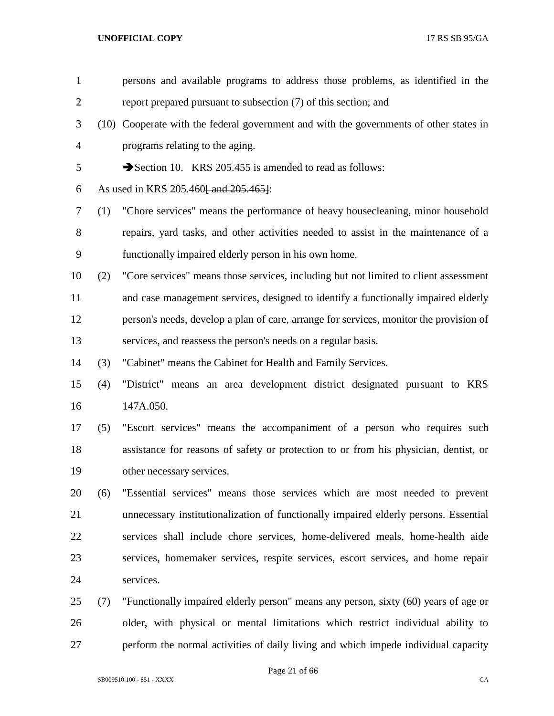| $\mathbf{1}$   |     | persons and available programs to address those problems, as identified in the         |
|----------------|-----|----------------------------------------------------------------------------------------|
| $\overline{2}$ |     | report prepared pursuant to subsection (7) of this section; and                        |
| 3              |     | (10) Cooperate with the federal government and with the governments of other states in |
| $\overline{4}$ |     | programs relating to the aging.                                                        |
| 5              |     | Section 10. KRS 205.455 is amended to read as follows:                                 |
| 6              |     | As used in KRS 205.460 and 205.465.                                                    |
| 7              | (1) | "Chore services" means the performance of heavy housecleaning, minor household         |
| 8              |     | repairs, yard tasks, and other activities needed to assist in the maintenance of a     |
| 9              |     | functionally impaired elderly person in his own home.                                  |
| 10             | (2) | "Core services" means those services, including but not limited to client assessment   |
| 11             |     | and case management services, designed to identify a functionally impaired elderly     |
| 12             |     | person's needs, develop a plan of care, arrange for services, monitor the provision of |
| 13             |     | services, and reassess the person's needs on a regular basis.                          |
| 14             | (3) | "Cabinet" means the Cabinet for Health and Family Services.                            |
| 15             | (4) | "District" means an area development district designated pursuant to KRS               |
| 16             |     | 147A.050.                                                                              |
| 17             | (5) | "Escort services" means the accompaniment of a person who requires such                |
| 18             |     | assistance for reasons of safety or protection to or from his physician, dentist, or   |
| 19             |     | other necessary services.                                                              |
| 20             | (6) | "Essential services" means those services which are most needed to prevent             |
| 21             |     | unnecessary institutionalization of functionally impaired elderly persons. Essential   |
| 22             |     | services shall include chore services, home-delivered meals, home-health aide          |
| 23             |     | services, homemaker services, respite services, escort services, and home repair       |
| 24             |     | services.                                                                              |
| 25             | (7) | "Functionally impaired elderly person" means any person, sixty (60) years of age or    |
| 26             |     | older, with physical or mental limitations which restrict individual ability to        |
| 27             |     | perform the normal activities of daily living and which impede individual capacity     |
|                |     |                                                                                        |

Page 21 of 66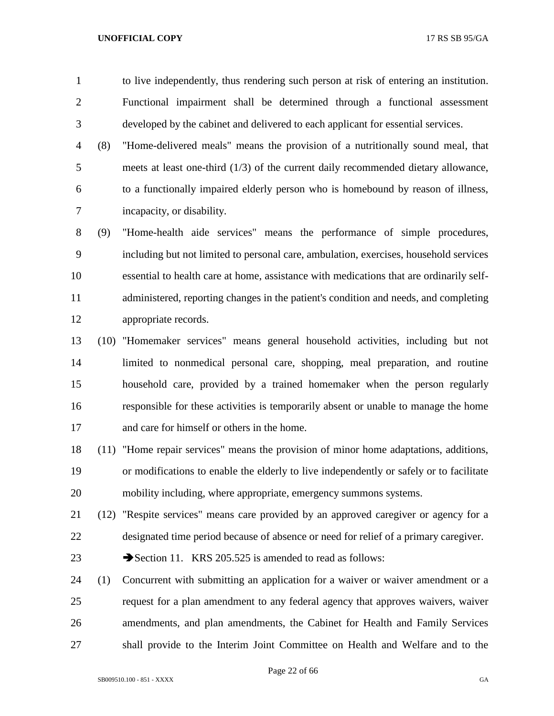to live independently, thus rendering such person at risk of entering an institution. Functional impairment shall be determined through a functional assessment developed by the cabinet and delivered to each applicant for essential services.

 (8) "Home-delivered meals" means the provision of a nutritionally sound meal, that meets at least one-third (1/3) of the current daily recommended dietary allowance, to a functionally impaired elderly person who is homebound by reason of illness, incapacity, or disability.

 (9) "Home-health aide services" means the performance of simple procedures, including but not limited to personal care, ambulation, exercises, household services essential to health care at home, assistance with medications that are ordinarily self- administered, reporting changes in the patient's condition and needs, and completing appropriate records.

 (10) "Homemaker services" means general household activities, including but not limited to nonmedical personal care, shopping, meal preparation, and routine household care, provided by a trained homemaker when the person regularly responsible for these activities is temporarily absent or unable to manage the home and care for himself or others in the home.

 (11) "Home repair services" means the provision of minor home adaptations, additions, or modifications to enable the elderly to live independently or safely or to facilitate mobility including, where appropriate, emergency summons systems.

 (12) "Respite services" means care provided by an approved caregiver or agency for a designated time period because of absence or need for relief of a primary caregiver.

23 Section 11. KRS 205.525 is amended to read as follows:

 (1) Concurrent with submitting an application for a waiver or waiver amendment or a request for a plan amendment to any federal agency that approves waivers, waiver amendments, and plan amendments, the Cabinet for Health and Family Services shall provide to the Interim Joint Committee on Health and Welfare and to the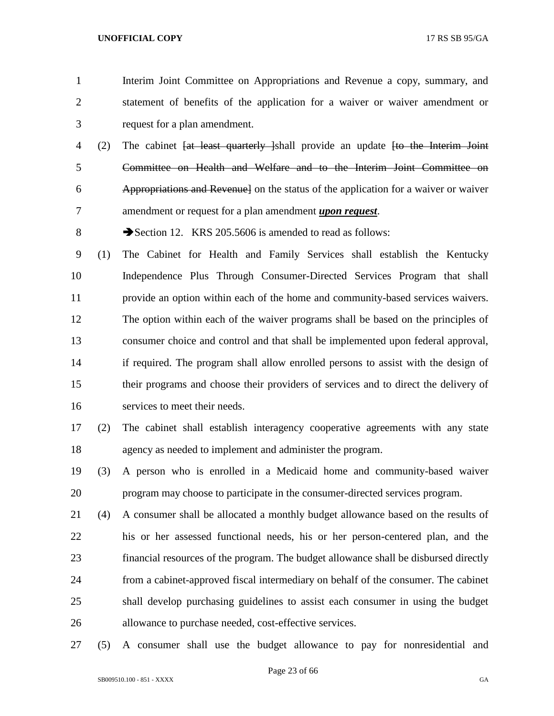- Interim Joint Committee on Appropriations and Revenue a copy, summary, and statement of benefits of the application for a waiver or waiver amendment or request for a plan amendment.
- (2) The cabinet [at least quarterly ]shall provide an update [to the Interim Joint Committee on Health and Welfare and to the Interim Joint Committee on Appropriations and Revenue] on the status of the application for a waiver or waiver amendment or request for a plan amendment *upon request*.
- 8 Section 12. KRS 205.5606 is amended to read as follows:

 (1) The Cabinet for Health and Family Services shall establish the Kentucky Independence Plus Through Consumer-Directed Services Program that shall provide an option within each of the home and community-based services waivers. The option within each of the waiver programs shall be based on the principles of consumer choice and control and that shall be implemented upon federal approval, if required. The program shall allow enrolled persons to assist with the design of their programs and choose their providers of services and to direct the delivery of services to meet their needs.

- (2) The cabinet shall establish interagency cooperative agreements with any state agency as needed to implement and administer the program.
- (3) A person who is enrolled in a Medicaid home and community-based waiver program may choose to participate in the consumer-directed services program.
- (4) A consumer shall be allocated a monthly budget allowance based on the results of his or her assessed functional needs, his or her person-centered plan, and the financial resources of the program. The budget allowance shall be disbursed directly from a cabinet-approved fiscal intermediary on behalf of the consumer. The cabinet shall develop purchasing guidelines to assist each consumer in using the budget allowance to purchase needed, cost-effective services.
- (5) A consumer shall use the budget allowance to pay for nonresidential and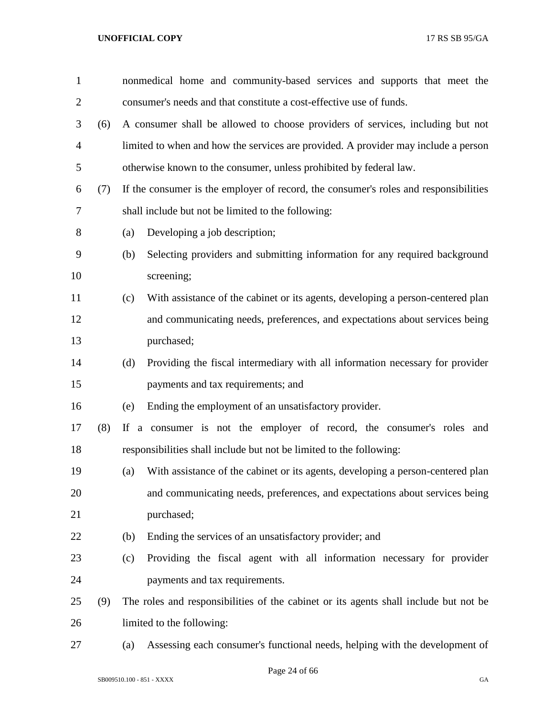| $\mathbf{1}$   |     | nonmedical home and community-based services and supports that meet the                |
|----------------|-----|----------------------------------------------------------------------------------------|
| $\overline{c}$ |     | consumer's needs and that constitute a cost-effective use of funds.                    |
| 3              | (6) | A consumer shall be allowed to choose providers of services, including but not         |
| $\overline{4}$ |     | limited to when and how the services are provided. A provider may include a person     |
| 5              |     | otherwise known to the consumer, unless prohibited by federal law.                     |
| 6              | (7) | If the consumer is the employer of record, the consumer's roles and responsibilities   |
| $\tau$         |     | shall include but not be limited to the following:                                     |
| $8\,$          |     | Developing a job description;<br>(a)                                                   |
| 9              |     | Selecting providers and submitting information for any required background<br>(b)      |
| 10             |     | screening;                                                                             |
| 11             |     | With assistance of the cabinet or its agents, developing a person-centered plan<br>(c) |
| 12             |     | and communicating needs, preferences, and expectations about services being            |
| 13             |     | purchased;                                                                             |
| 14             |     | Providing the fiscal intermediary with all information necessary for provider<br>(d)   |
| 15             |     | payments and tax requirements; and                                                     |
| 16             |     | Ending the employment of an unsatisfactory provider.<br>(e)                            |
| 17             | (8) | If a consumer is not the employer of record, the consumer's roles and                  |
| 18             |     | responsibilities shall include but not be limited to the following:                    |
| 19             |     | With assistance of the cabinet or its agents, developing a person-centered plan<br>(a) |
| 20             |     | and communicating needs, preferences, and expectations about services being            |
| 21             |     | purchased;                                                                             |
| 22             |     | Ending the services of an unsatisfactory provider; and<br>(b)                          |
| 23             |     | Providing the fiscal agent with all information necessary for provider<br>(c)          |
| 24             |     | payments and tax requirements.                                                         |
| 25             | (9) | The roles and responsibilities of the cabinet or its agents shall include but not be   |
| 26             |     | limited to the following:                                                              |
| 27             |     | Assessing each consumer's functional needs, helping with the development of<br>(a)     |

Page 24 of 66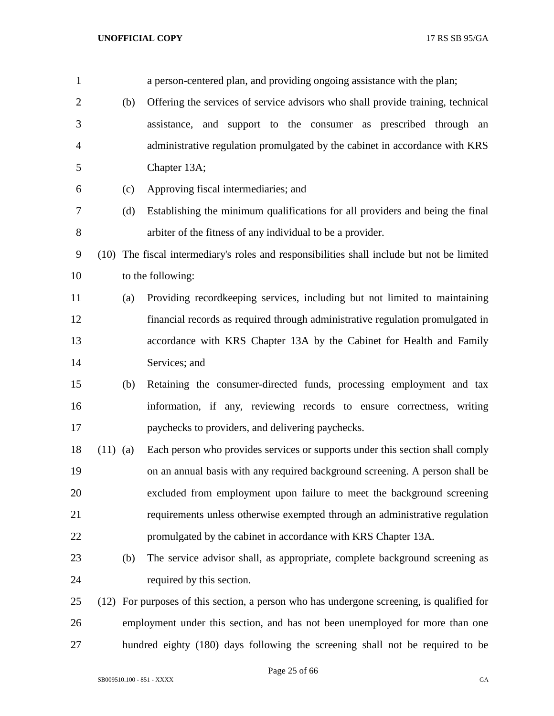| $\mathbf{1}$   |            |     | a person-centered plan, and providing ongoing assistance with the plan;                    |
|----------------|------------|-----|--------------------------------------------------------------------------------------------|
| $\overline{2}$ |            | (b) | Offering the services of service advisors who shall provide training, technical            |
| 3              |            |     | assistance, and support to the consumer as prescribed through an                           |
| $\overline{4}$ |            |     | administrative regulation promulgated by the cabinet in accordance with KRS                |
| 5              |            |     | Chapter 13A;                                                                               |
| 6              |            | (c) | Approving fiscal intermediaries; and                                                       |
| 7              |            | (d) | Establishing the minimum qualifications for all providers and being the final              |
| 8              |            |     | arbiter of the fitness of any individual to be a provider.                                 |
| 9              |            |     | (10) The fiscal intermediary's roles and responsibilities shall include but not be limited |
| 10             |            |     | to the following:                                                                          |
| 11             |            | (a) | Providing recordkeeping services, including but not limited to maintaining                 |
| 12             |            |     | financial records as required through administrative regulation promulgated in             |
| 13             |            |     | accordance with KRS Chapter 13A by the Cabinet for Health and Family                       |
| 14             |            |     | Services; and                                                                              |
| 15             |            | (b) | Retaining the consumer-directed funds, processing employment and tax                       |
| 16             |            |     | information, if any, reviewing records to ensure correctness, writing                      |
| 17             |            |     | paychecks to providers, and delivering paychecks.                                          |
| 18             | $(11)$ (a) |     | Each person who provides services or supports under this section shall comply              |
| 19             |            |     | on an annual basis with any required background screening. A person shall be               |
| 20             |            |     | excluded from employment upon failure to meet the background screening                     |
| 21             |            |     | requirements unless otherwise exempted through an administrative regulation                |
| 22             |            |     | promulgated by the cabinet in accordance with KRS Chapter 13A.                             |
| 23             |            | (b) | The service advisor shall, as appropriate, complete background screening as                |
| 24             |            |     | required by this section.                                                                  |
| 25             |            |     | (12) For purposes of this section, a person who has undergone screening, is qualified for  |
| 26             |            |     | employment under this section, and has not been unemployed for more than one               |
| 27             |            |     | hundred eighty (180) days following the screening shall not be required to be              |

Page 25 of 66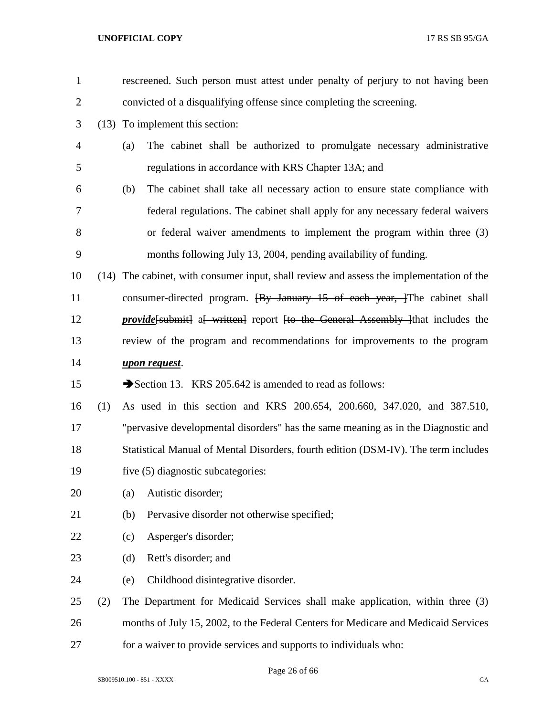| $\mathbf{1}$   |      |     | rescreened. Such person must attest under penalty of perjury to not having been        |
|----------------|------|-----|----------------------------------------------------------------------------------------|
| $\overline{2}$ |      |     | convicted of a disqualifying offense since completing the screening.                   |
| 3              |      |     | (13) To implement this section:                                                        |
| $\overline{4}$ |      | (a) | The cabinet shall be authorized to promulgate necessary administrative                 |
| 5              |      |     | regulations in accordance with KRS Chapter 13A; and                                    |
| 6              |      | (b) | The cabinet shall take all necessary action to ensure state compliance with            |
| 7              |      |     | federal regulations. The cabinet shall apply for any necessary federal waivers         |
| 8              |      |     | or federal waiver amendments to implement the program within three (3)                 |
| 9              |      |     | months following July 13, 2004, pending availability of funding.                       |
| 10             | (14) |     | The cabinet, with consumer input, shall review and assess the implementation of the    |
| 11             |      |     | consumer-directed program. <del>[By January 15 of each year, ]</del> The cabinet shall |
| 12             |      |     | <i>provide</i> [submit] a written] report [to the General Assembly ] that includes the |
| 13             |      |     | review of the program and recommendations for improvements to the program              |
| 14             |      |     | upon request.                                                                          |
| 15             |      |     | Section 13. KRS 205.642 is amended to read as follows:                                 |
| 16             | (1)  |     | As used in this section and KRS 200.654, 200.660, 347.020, and 387.510,                |
| 17             |      |     | "pervasive developmental disorders" has the same meaning as in the Diagnostic and      |
| 18             |      |     | Statistical Manual of Mental Disorders, fourth edition (DSM-IV). The term includes     |
| 19             |      |     | five (5) diagnostic subcategories:                                                     |
| 20             |      | (a) | Autistic disorder;                                                                     |
| 21             |      | (b) | Pervasive disorder not otherwise specified;                                            |
| 22             |      | (c) | Asperger's disorder;                                                                   |
| 23             |      | (d) | Rett's disorder; and                                                                   |
| 24             |      | (e) | Childhood disintegrative disorder.                                                     |
| 25             | (2)  |     | The Department for Medicaid Services shall make application, within three (3)          |
| 26             |      |     | months of July 15, 2002, to the Federal Centers for Medicare and Medicaid Services     |
| 27             |      |     | for a waiver to provide services and supports to individuals who:                      |

Page 26 of 66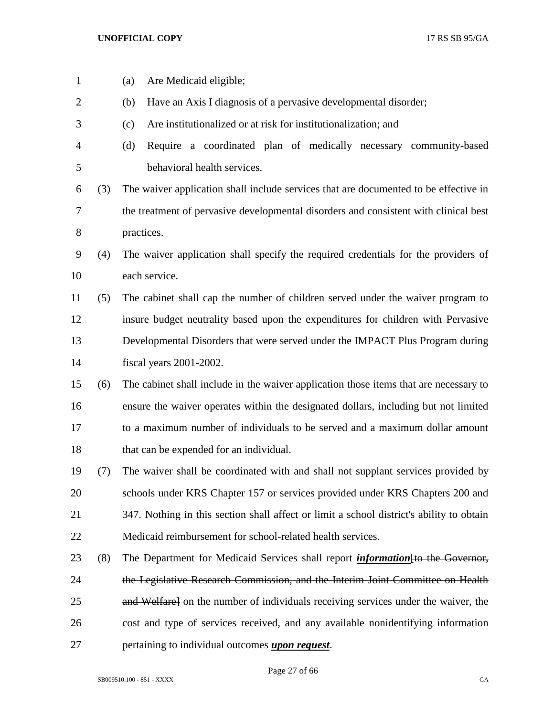| $\mathbf{1}$   |     | Are Medicaid eligible;<br>(a)                                                            |
|----------------|-----|------------------------------------------------------------------------------------------|
| $\overline{c}$ |     | Have an Axis I diagnosis of a pervasive developmental disorder;<br>(b)                   |
| 3              |     | Are institutionalized or at risk for institutionalization; and<br>(c)                    |
| 4              |     | Require a coordinated plan of medically necessary community-based<br>(d)                 |
| 5              |     | behavioral health services.                                                              |
| 6              | (3) | The waiver application shall include services that are documented to be effective in     |
| 7              |     | the treatment of pervasive developmental disorders and consistent with clinical best     |
| 8              |     | practices.                                                                               |
| 9              | (4) | The waiver application shall specify the required credentials for the providers of       |
| 10             |     | each service.                                                                            |
| 11             | (5) | The cabinet shall cap the number of children served under the waiver program to          |
| 12             |     | insure budget neutrality based upon the expenditures for children with Pervasive         |
| 13             |     | Developmental Disorders that were served under the IMPACT Plus Program during            |
| 14             |     | fiscal years 2001-2002.                                                                  |
| 15             | (6) | The cabinet shall include in the waiver application those items that are necessary to    |
| 16             |     | ensure the waiver operates within the designated dollars, including but not limited      |
| 17             |     | to a maximum number of individuals to be served and a maximum dollar amount              |
| 18             |     | that can be expended for an individual.                                                  |
| 19             | (7) | The waiver shall be coordinated with and shall not supplant services provided by         |
| 20             |     | schools under KRS Chapter 157 or services provided under KRS Chapters 200 and            |
| 21             |     | 347. Nothing in this section shall affect or limit a school district's ability to obtain |
| 22             |     | Medicaid reimbursement for school-related health services.                               |
| 23             | (8) | The Department for Medicaid Services shall report <i>information</i> fto the Governor,   |
| 24             |     | the Legislative Research Commission, and the Interim Joint Committee on Health           |
| 25             |     | and Welfare] on the number of individuals receiving services under the waiver, the       |
| 26             |     | cost and type of services received, and any available nonidentifying information         |
| 27             |     | pertaining to individual outcomes <i>upon request</i> .                                  |

Page 27 of 66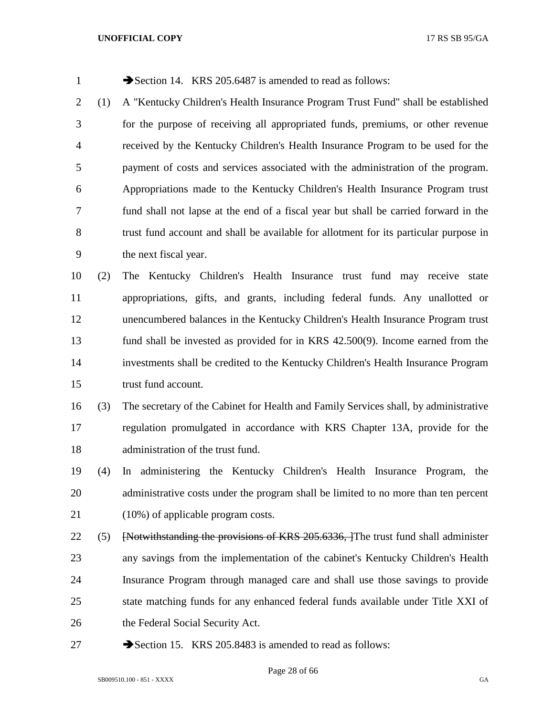| $\mathbf{1}$ |     | Section 14. KRS 205.6487 is amended to read as follows:                               |
|--------------|-----|---------------------------------------------------------------------------------------|
| 2            | (1) | A "Kentucky Children's Health Insurance Program Trust Fund" shall be established      |
| 3            |     | for the purpose of receiving all appropriated funds, premiums, or other revenue       |
| 4            |     | received by the Kentucky Children's Health Insurance Program to be used for the       |
| 5            |     | payment of costs and services associated with the administration of the program.      |
| 6            |     | Appropriations made to the Kentucky Children's Health Insurance Program trust         |
| 7            |     | fund shall not lapse at the end of a fiscal year but shall be carried forward in the  |
| 8            |     | trust fund account and shall be available for allotment for its particular purpose in |
| 9            |     | the next fiscal year.                                                                 |
| 10           | (2) | The Kentucky Children's Health Insurance trust fund may receive state                 |
| 11           |     | appropriations, gifts, and grants, including federal funds. Any unallotted or         |
| 12           |     | unencumbered balances in the Kentucky Children's Health Insurance Program trust       |
| 13           |     | fund shall be invested as provided for in KRS 42.500(9). Income earned from the       |
| 14           |     | investments shall be credited to the Kentucky Children's Health Insurance Program     |
| 15           |     | trust fund account.                                                                   |
| 16           | (3) | The secretary of the Cabinet for Health and Family Services shall, by administrative  |
| 17           |     | regulation promulgated in accordance with KRS Chapter 13A, provide for the            |
| 18           |     | administration of the trust fund.                                                     |
| 19           | (4) | In administering the Kentucky Children's Health Insurance Program, the                |
| 20           |     | administrative costs under the program shall be limited to no more than ten percent   |
| 21           |     | $(10\%)$ of applicable program costs.                                                 |
| 22           | (5) | [Notwithstanding the provisions of KRS 205.6336, The trust fund shall administer      |
| 23           |     | any savings from the implementation of the cabinet's Kentucky Children's Health       |
| 24           |     | Insurance Program through managed care and shall use those savings to provide         |
| 25           |     | state matching funds for any enhanced federal funds available under Title XXI of      |
| 26           |     | the Federal Social Security Act.                                                      |
| 27           |     | Section 15. KRS 205.8483 is amended to read as follows:                               |
|              |     |                                                                                       |

Page 28 of 66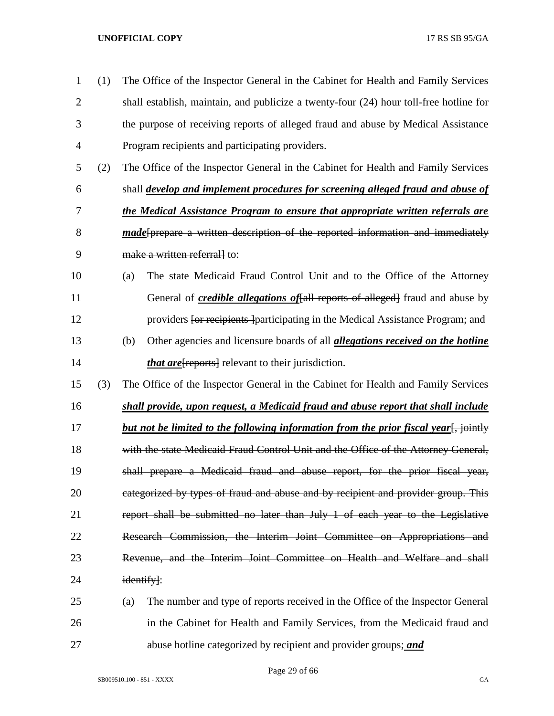| $\mathbf{1}$   | (1) | The Office of the Inspector General in the Cabinet for Health and Family Services            |  |  |
|----------------|-----|----------------------------------------------------------------------------------------------|--|--|
| $\overline{2}$ |     | shall establish, maintain, and publicize a twenty-four (24) hour toll-free hotline for       |  |  |
| 3              |     | the purpose of receiving reports of alleged fraud and abuse by Medical Assistance            |  |  |
| $\overline{4}$ |     | Program recipients and participating providers.                                              |  |  |
| 5              | (2) | The Office of the Inspector General in the Cabinet for Health and Family Services            |  |  |
| 6              |     | shall <i>develop and implement procedures for screening alleged fraud and abuse of</i>       |  |  |
| 7              |     | the Medical Assistance Program to ensure that appropriate written referrals are              |  |  |
| 8              |     | made[prepare a written description of the reported information and immediately               |  |  |
| 9              |     | make a written referrall to:                                                                 |  |  |
| 10             |     | The state Medicaid Fraud Control Unit and to the Office of the Attorney<br>(a)               |  |  |
| 11             |     | General of <i>credible allegations of</i> [all reports of alleged] fraud and abuse by        |  |  |
| 12             |     | providers for recipients participating in the Medical Assistance Program; and                |  |  |
| 13             |     | Other agencies and licensure boards of all <i>allegations received on the hotline</i><br>(b) |  |  |
| 14             |     | <i>that are</i> [reports] relevant to their jurisdiction.                                    |  |  |
| 15             | (3) | The Office of the Inspector General in the Cabinet for Health and Family Services            |  |  |
| 16             |     | shall provide, upon request, a Medicaid fraud and abuse report that shall include            |  |  |
| 17             |     | <u>but not be limited to the following information from the prior fiscal year. jointly</u>   |  |  |
| 18             |     | with the state Medicaid Fraud Control Unit and the Office of the Attorney General,           |  |  |
| 19             |     | shall prepare a Medicaid fraud and abuse report, for the prior fiscal year,                  |  |  |
| 20             |     | eategorized by types of fraud and abuse and by recipient and provider group. This            |  |  |
| 21             |     | report shall be submitted no later than July 1 of each year to the Legislative               |  |  |
| 22             |     | Research Commission, the Interim Joint Committee on Appropriations and                       |  |  |
| 23             |     | Revenue, and the Interim Joint Committee on Health and Welfare and shall                     |  |  |
| 24             |     | identify]:                                                                                   |  |  |
| 25             |     | The number and type of reports received in the Office of the Inspector General<br>(a)        |  |  |
| 26             |     | in the Cabinet for Health and Family Services, from the Medicaid fraud and                   |  |  |
| 27             |     | abuse hotline categorized by recipient and provider groups; and                              |  |  |

Page 29 of 66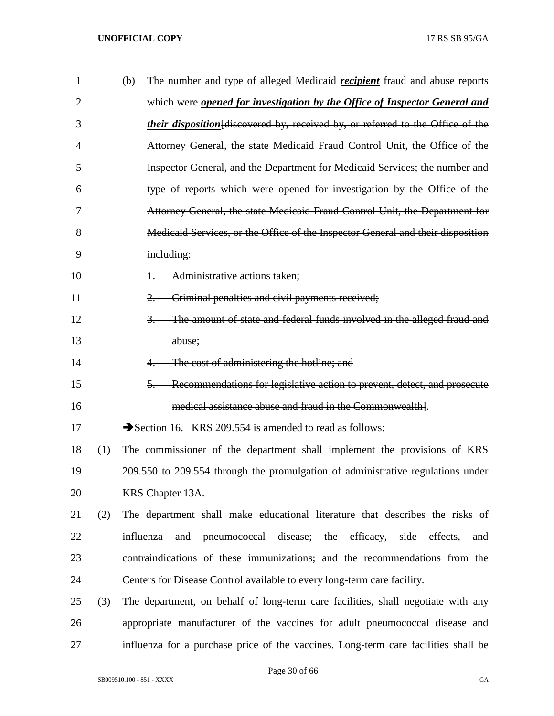| $\mathbf{1}$ |     | (b) | The number and type of alleged Medicaid <i>recipient</i> fraud and abuse reports         |
|--------------|-----|-----|------------------------------------------------------------------------------------------|
| 2            |     |     | which were <b>opened for investigation by the Office of Inspector General and</b>        |
| 3            |     |     | <i>their disposition</i> [discovered by, received by, or referred to the Office of the   |
| 4            |     |     | Attorney General, the state Medicaid Fraud Control Unit, the Office of the               |
| 5            |     |     | Inspector General, and the Department for Medicaid Services; the number and              |
| 6            |     |     | type of reports which were opened for investigation by the Office of the                 |
| 7            |     |     | Attorney General, the state Medicaid Fraud Control Unit, the Department for              |
| 8            |     |     | Medicaid Services, or the Office of the Inspector General and their disposition          |
| 9            |     |     | including:                                                                               |
| 10           |     |     | Administrative actions taken:<br>╀═                                                      |
| 11           |     |     | Criminal penalties and civil payments received;<br>$2-$                                  |
| 12           |     |     | The amount of state and federal funds involved in the alleged fraud and<br>$\frac{3}{2}$ |
| 13           |     |     | abuse;                                                                                   |
| 14           |     |     | The cost of administering the hotline; and                                               |
| 15           |     |     | 5. Recommendations for legislative action to prevent, detect, and prosecute              |
| 16           |     |     | medical assistance abuse and fraud in the Commonwealth].                                 |
| 17           |     |     | Section 16. KRS 209.554 is amended to read as follows:                                   |
| 18           | (1) |     | The commissioner of the department shall implement the provisions of KRS                 |
| 19           |     |     | 209.550 to 209.554 through the promulgation of administrative regulations under          |
| 20           |     |     | KRS Chapter 13A.                                                                         |
| 21           | (2) |     | The department shall make educational literature that describes the risks of             |
| 22           |     |     | pneumococcal disease; the efficacy, side<br>influenza<br>and<br>effects,<br>and          |
| 23           |     |     | contraindications of these immunizations; and the recommendations from the               |
| 24           |     |     | Centers for Disease Control available to every long-term care facility.                  |
| 25           | (3) |     | The department, on behalf of long-term care facilities, shall negotiate with any         |
| 26           |     |     | appropriate manufacturer of the vaccines for adult pneumococcal disease and              |
| 27           |     |     | influenza for a purchase price of the vaccines. Long-term care facilities shall be       |

Page 30 of 66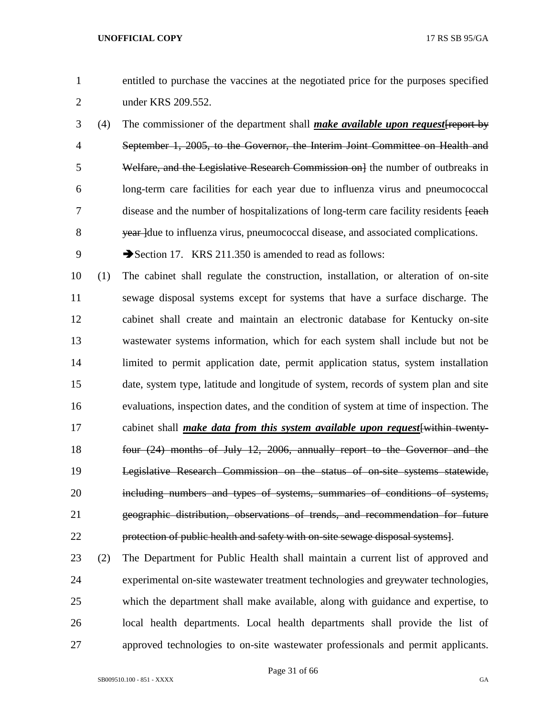- entitled to purchase the vaccines at the negotiated price for the purposes specified under KRS 209.552.
- (4) The commissioner of the department shall *make available upon request*[report by September 1, 2005, to the Governor, the Interim Joint Committee on Health and 5 Welfare, and the Legislative Research Commission on the number of outbreaks in long-term care facilities for each year due to influenza virus and pneumococcal 7 disease and the number of hospitalizations of long-term care facility residents [each] 8 year due to influenza virus, pneumococcal disease, and associated complications.
- 9 Section 17. KRS 211.350 is amended to read as follows:
- (1) The cabinet shall regulate the construction, installation, or alteration of on-site sewage disposal systems except for systems that have a surface discharge. The cabinet shall create and maintain an electronic database for Kentucky on-site wastewater systems information, which for each system shall include but not be limited to permit application date, permit application status, system installation date, system type, latitude and longitude of system, records of system plan and site evaluations, inspection dates, and the condition of system at time of inspection. The cabinet shall *make data from this system available upon request*[within twenty- four (24) months of July 12, 2006, annually report to the Governor and the Legislative Research Commission on the status of on-site systems statewide, 20 including numbers and types of systems, summaries of conditions of systems, geographic distribution, observations of trends, and recommendation for future protection of public health and safety with on-site sewage disposal systems].
- (2) The Department for Public Health shall maintain a current list of approved and experimental on-site wastewater treatment technologies and greywater technologies, which the department shall make available, along with guidance and expertise, to local health departments. Local health departments shall provide the list of approved technologies to on-site wastewater professionals and permit applicants.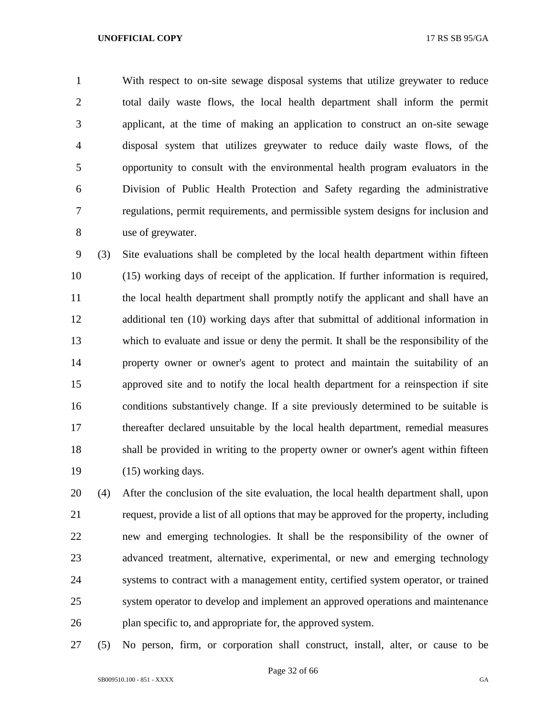With respect to on-site sewage disposal systems that utilize greywater to reduce total daily waste flows, the local health department shall inform the permit applicant, at the time of making an application to construct an on-site sewage disposal system that utilizes greywater to reduce daily waste flows, of the opportunity to consult with the environmental health program evaluators in the Division of Public Health Protection and Safety regarding the administrative regulations, permit requirements, and permissible system designs for inclusion and use of greywater.

 (3) Site evaluations shall be completed by the local health department within fifteen (15) working days of receipt of the application. If further information is required, the local health department shall promptly notify the applicant and shall have an additional ten (10) working days after that submittal of additional information in which to evaluate and issue or deny the permit. It shall be the responsibility of the property owner or owner's agent to protect and maintain the suitability of an approved site and to notify the local health department for a reinspection if site conditions substantively change. If a site previously determined to be suitable is thereafter declared unsuitable by the local health department, remedial measures 18 shall be provided in writing to the property owner or owner's agent within fifteen (15) working days.

 (4) After the conclusion of the site evaluation, the local health department shall, upon request, provide a list of all options that may be approved for the property, including new and emerging technologies. It shall be the responsibility of the owner of advanced treatment, alternative, experimental, or new and emerging technology systems to contract with a management entity, certified system operator, or trained system operator to develop and implement an approved operations and maintenance plan specific to, and appropriate for, the approved system.

(5) No person, firm, or corporation shall construct, install, alter, or cause to be

Page 32 of 66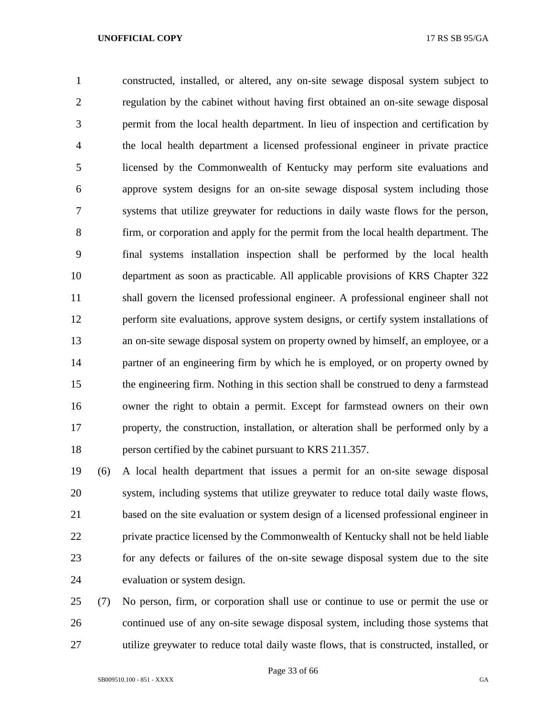constructed, installed, or altered, any on-site sewage disposal system subject to regulation by the cabinet without having first obtained an on-site sewage disposal permit from the local health department. In lieu of inspection and certification by the local health department a licensed professional engineer in private practice licensed by the Commonwealth of Kentucky may perform site evaluations and approve system designs for an on-site sewage disposal system including those systems that utilize greywater for reductions in daily waste flows for the person, firm, or corporation and apply for the permit from the local health department. The final systems installation inspection shall be performed by the local health department as soon as practicable. All applicable provisions of KRS Chapter 322 shall govern the licensed professional engineer. A professional engineer shall not perform site evaluations, approve system designs, or certify system installations of an on-site sewage disposal system on property owned by himself, an employee, or a partner of an engineering firm by which he is employed, or on property owned by the engineering firm. Nothing in this section shall be construed to deny a farmstead owner the right to obtain a permit. Except for farmstead owners on their own property, the construction, installation, or alteration shall be performed only by a person certified by the cabinet pursuant to KRS 211.357.

 (6) A local health department that issues a permit for an on-site sewage disposal system, including systems that utilize greywater to reduce total daily waste flows, based on the site evaluation or system design of a licensed professional engineer in private practice licensed by the Commonwealth of Kentucky shall not be held liable for any defects or failures of the on-site sewage disposal system due to the site evaluation or system design.

 (7) No person, firm, or corporation shall use or continue to use or permit the use or continued use of any on-site sewage disposal system, including those systems that utilize greywater to reduce total daily waste flows, that is constructed, installed, or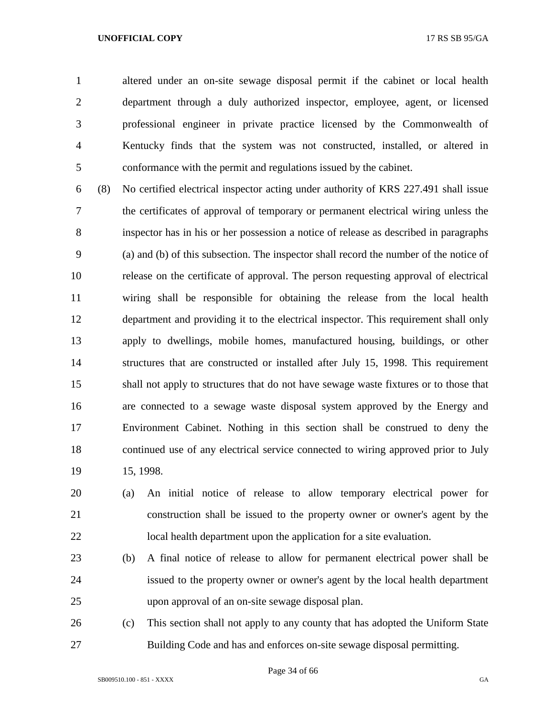altered under an on-site sewage disposal permit if the cabinet or local health department through a duly authorized inspector, employee, agent, or licensed professional engineer in private practice licensed by the Commonwealth of Kentucky finds that the system was not constructed, installed, or altered in conformance with the permit and regulations issued by the cabinet.

 (8) No certified electrical inspector acting under authority of KRS 227.491 shall issue the certificates of approval of temporary or permanent electrical wiring unless the inspector has in his or her possession a notice of release as described in paragraphs (a) and (b) of this subsection. The inspector shall record the number of the notice of release on the certificate of approval. The person requesting approval of electrical wiring shall be responsible for obtaining the release from the local health department and providing it to the electrical inspector. This requirement shall only apply to dwellings, mobile homes, manufactured housing, buildings, or other structures that are constructed or installed after July 15, 1998. This requirement shall not apply to structures that do not have sewage waste fixtures or to those that are connected to a sewage waste disposal system approved by the Energy and Environment Cabinet. Nothing in this section shall be construed to deny the continued use of any electrical service connected to wiring approved prior to July 15, 1998.

 (a) An initial notice of release to allow temporary electrical power for construction shall be issued to the property owner or owner's agent by the local health department upon the application for a site evaluation.

- (b) A final notice of release to allow for permanent electrical power shall be issued to the property owner or owner's agent by the local health department upon approval of an on-site sewage disposal plan.
- (c) This section shall not apply to any county that has adopted the Uniform State Building Code and has and enforces on-site sewage disposal permitting.

Page 34 of 66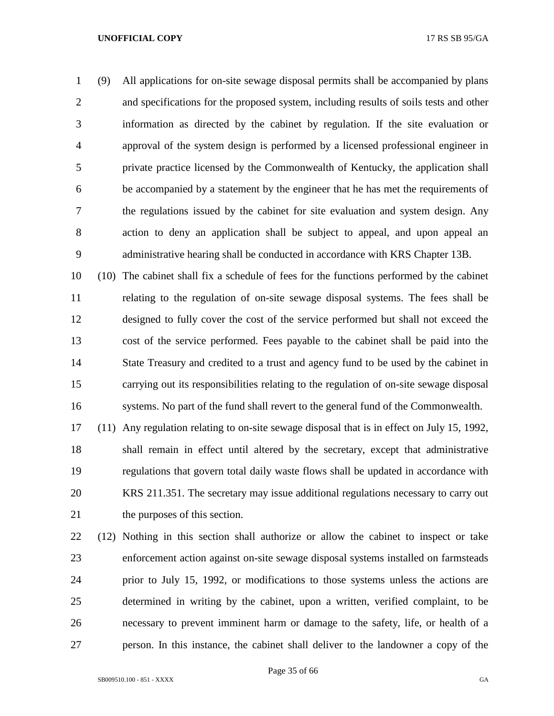(9) All applications for on-site sewage disposal permits shall be accompanied by plans and specifications for the proposed system, including results of soils tests and other information as directed by the cabinet by regulation. If the site evaluation or approval of the system design is performed by a licensed professional engineer in private practice licensed by the Commonwealth of Kentucky, the application shall be accompanied by a statement by the engineer that he has met the requirements of the regulations issued by the cabinet for site evaluation and system design. Any action to deny an application shall be subject to appeal, and upon appeal an administrative hearing shall be conducted in accordance with KRS Chapter 13B.

 (10) The cabinet shall fix a schedule of fees for the functions performed by the cabinet relating to the regulation of on-site sewage disposal systems. The fees shall be designed to fully cover the cost of the service performed but shall not exceed the cost of the service performed. Fees payable to the cabinet shall be paid into the State Treasury and credited to a trust and agency fund to be used by the cabinet in carrying out its responsibilities relating to the regulation of on-site sewage disposal systems. No part of the fund shall revert to the general fund of the Commonwealth.

 (11) Any regulation relating to on-site sewage disposal that is in effect on July 15, 1992, shall remain in effect until altered by the secretary, except that administrative regulations that govern total daily waste flows shall be updated in accordance with KRS 211.351. The secretary may issue additional regulations necessary to carry out the purposes of this section.

 (12) Nothing in this section shall authorize or allow the cabinet to inspect or take enforcement action against on-site sewage disposal systems installed on farmsteads prior to July 15, 1992, or modifications to those systems unless the actions are determined in writing by the cabinet, upon a written, verified complaint, to be necessary to prevent imminent harm or damage to the safety, life, or health of a person. In this instance, the cabinet shall deliver to the landowner a copy of the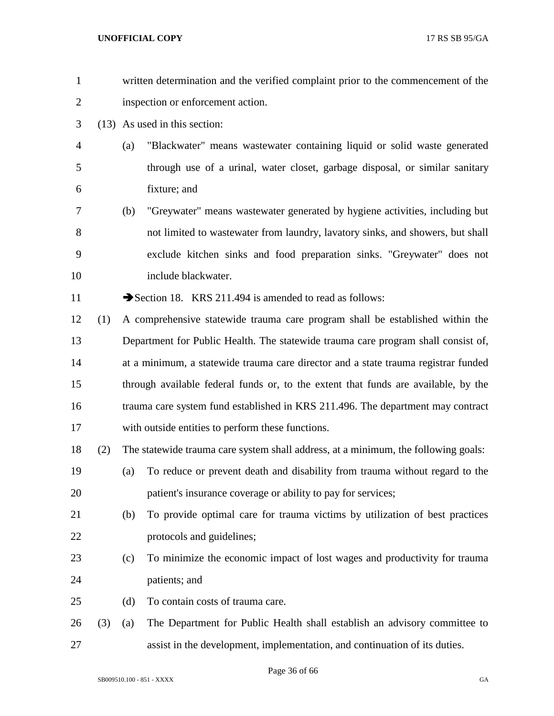| $\mathbf{1}$   |     | written determination and the verified complaint prior to the commencement of the  |
|----------------|-----|------------------------------------------------------------------------------------|
| $\overline{2}$ |     | inspection or enforcement action.                                                  |
| 3              |     | (13) As used in this section:                                                      |
| $\overline{4}$ |     | "Blackwater" means wastewater containing liquid or solid waste generated<br>(a)    |
| 5              |     | through use of a urinal, water closet, garbage disposal, or similar sanitary       |
| 6              |     | fixture; and                                                                       |
| 7              |     | "Greywater" means wastewater generated by hygiene activities, including but<br>(b) |
| 8              |     | not limited to wastewater from laundry, lavatory sinks, and showers, but shall     |
| 9              |     | exclude kitchen sinks and food preparation sinks. "Greywater" does not             |
| 10             |     | include blackwater.                                                                |
| 11             |     | Section 18. KRS 211.494 is amended to read as follows:                             |
| 12             | (1) | A comprehensive statewide trauma care program shall be established within the      |
| 13             |     | Department for Public Health. The statewide trauma care program shall consist of,  |
| 14             |     | at a minimum, a statewide trauma care director and a state trauma registrar funded |
| 15             |     | through available federal funds or, to the extent that funds are available, by the |
| 16             |     | trauma care system fund established in KRS 211.496. The department may contract    |
| 17             |     | with outside entities to perform these functions.                                  |
| 18             | (2) | The statewide trauma care system shall address, at a minimum, the following goals: |
| 19             |     | To reduce or prevent death and disability from trauma without regard to the<br>(a) |
| 20             |     | patient's insurance coverage or ability to pay for services;                       |
| 21             |     | To provide optimal care for trauma victims by utilization of best practices<br>(b) |
| 22             |     | protocols and guidelines;                                                          |
| 23             |     | To minimize the economic impact of lost wages and productivity for trauma<br>(c)   |
| 24             |     | patients; and                                                                      |
| 25             |     | To contain costs of trauma care.<br>(d)                                            |
| 26             | (3) | The Department for Public Health shall establish an advisory committee to<br>(a)   |
| 27             |     | assist in the development, implementation, and continuation of its duties.         |
|                |     | $D_{0.02}$ 26 of 66                                                                |

Page 36 of 66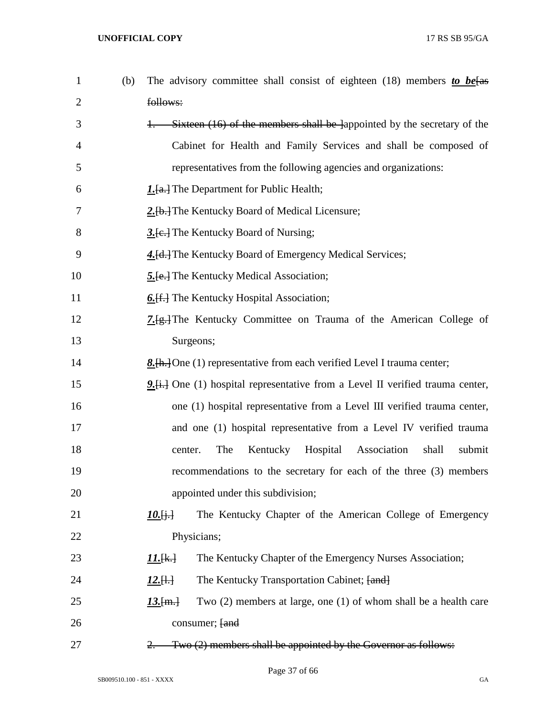| $\mathbf{1}$   | (b) | The advisory committee shall consist of eighteen (18) members to be $\frac{be}{\sqrt{1}}$ |
|----------------|-----|-------------------------------------------------------------------------------------------|
| $\overline{2}$ |     | follows:                                                                                  |
| 3              |     | Sixteen (16) of the members shall be lappointed by the secretary of the                   |
| 4              |     | Cabinet for Health and Family Services and shall be composed of                           |
| 5              |     | representatives from the following agencies and organizations:                            |
| 6              |     | <b>1.</b> [a.] The Department for Public Health;                                          |
| 7              |     | 2.[b.] The Kentucky Board of Medical Licensure;                                           |
| 8              |     | 3. [e.] The Kentucky Board of Nursing;                                                    |
| 9              |     | 4. [d.] The Kentucky Board of Emergency Medical Services;                                 |
| 10             |     | <b>5.</b> [e.] The Kentucky Medical Association;                                          |
| 11             |     | 6. [f.] The Kentucky Hospital Association;                                                |
| 12             |     | 7. [g.] The Kentucky Committee on Trauma of the American College of                       |
| 13             |     | Surgeons;                                                                                 |
| 14             |     | 8. [h.] One (1) representative from each verified Level I trauma center;                  |
| 15             |     | 9. [i.] One (1) hospital representative from a Level II verified trauma center,           |
| 16             |     | one (1) hospital representative from a Level III verified trauma center,                  |
| 17             |     | and one (1) hospital representative from a Level IV verified trauma                       |
| 18             |     | The<br>Kentucky<br>Hospital<br>Association<br>shall<br>submit<br>center.                  |
| 19             |     | recommendations to the secretary for each of the three (3) members                        |
| 20             |     | appointed under this subdivision;                                                         |
| 21             |     | The Kentucky Chapter of the American College of Emergency<br>$10.$ $\ddagger$ $\ddagger$  |
| 22             |     | Physicians;                                                                               |
| 23             |     | The Kentucky Chapter of the Emergency Nurses Association;<br>11. [k.]                     |
| 24             |     | The Kentucky Transportation Cabinet; [and]<br>$12.1 +$                                    |
| 25             |     | Two $(2)$ members at large, one $(1)$ of whom shall be a health care<br>$13.$ [m.]        |
| 26             |     | consumer; [and                                                                            |
| 27             |     | Two (2) members shall be appointed by the Governor as follows:<br>2.                      |

Page 37 of 66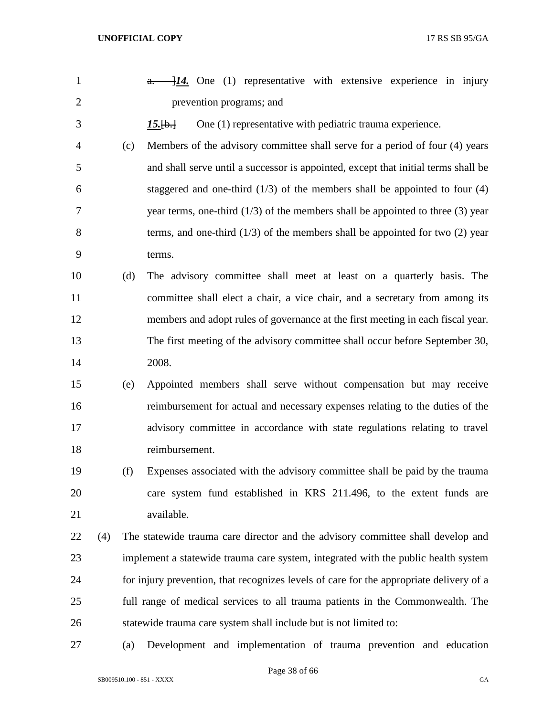| $\mathbf{1}$   |     |     | $\frac{1}{4}$ . One (1) representative with extensive experience in injury<br>$a -$     |
|----------------|-----|-----|-----------------------------------------------------------------------------------------|
| $\overline{2}$ |     |     | prevention programs; and                                                                |
| 3              |     |     | One (1) representative with pediatric trauma experience.<br>$15.$ [b.]                  |
| 4              |     | (c) | Members of the advisory committee shall serve for a period of four (4) years            |
| 5              |     |     | and shall serve until a successor is appointed, except that initial terms shall be      |
| 6              |     |     | staggered and one-third $(1/3)$ of the members shall be appointed to four $(4)$         |
| 7              |     |     | year terms, one-third $(1/3)$ of the members shall be appointed to three $(3)$ year     |
| 8              |     |     | terms, and one-third $(1/3)$ of the members shall be appointed for two $(2)$ year       |
| 9              |     |     | terms.                                                                                  |
| 10             |     | (d) | The advisory committee shall meet at least on a quarterly basis. The                    |
| 11             |     |     | committee shall elect a chair, a vice chair, and a secretary from among its             |
| 12             |     |     | members and adopt rules of governance at the first meeting in each fiscal year.         |
| 13             |     |     | The first meeting of the advisory committee shall occur before September 30,            |
| 14             |     |     | 2008.                                                                                   |
| 15             |     | (e) | Appointed members shall serve without compensation but may receive                      |
| 16             |     |     | reimbursement for actual and necessary expenses relating to the duties of the           |
| 17             |     |     | advisory committee in accordance with state regulations relating to travel              |
| 18             |     |     | reimbursement.                                                                          |
| 19             |     | (f) | Expenses associated with the advisory committee shall be paid by the trauma             |
| 20             |     |     | care system fund established in KRS 211.496, to the extent funds are                    |
| 21             |     |     | available.                                                                              |
| 22             | (4) |     | The statewide trauma care director and the advisory committee shall develop and         |
| 23             |     |     | implement a statewide trauma care system, integrated with the public health system      |
| 24             |     |     | for injury prevention, that recognizes levels of care for the appropriate delivery of a |
| 25             |     |     | full range of medical services to all trauma patients in the Commonwealth. The          |
| 26             |     |     | statewide trauma care system shall include but is not limited to:                       |
| 27             |     | (a) | Development and implementation of trauma prevention and education                       |

Page 38 of 66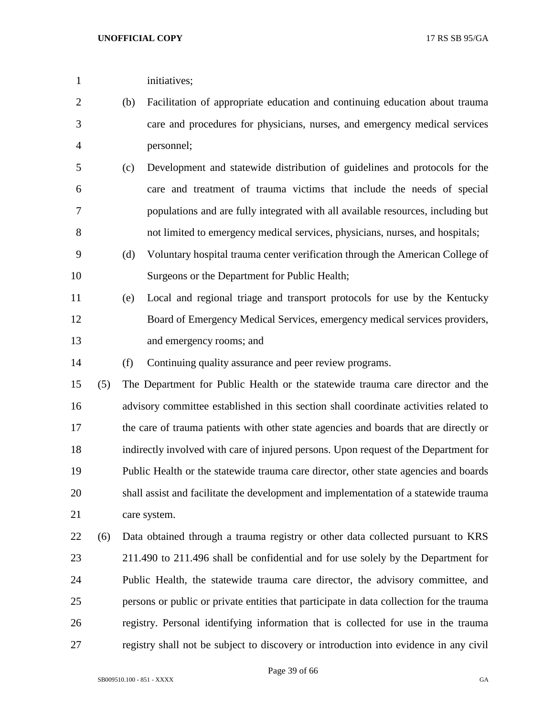| 1              |     |     | initiatives;                                                                             |
|----------------|-----|-----|------------------------------------------------------------------------------------------|
| $\overline{2}$ |     | (b) | Facilitation of appropriate education and continuing education about trauma              |
| 3              |     |     | care and procedures for physicians, nurses, and emergency medical services               |
| $\overline{4}$ |     |     | personnel;                                                                               |
| 5              |     | (c) | Development and statewide distribution of guidelines and protocols for the               |
| 6              |     |     | care and treatment of trauma victims that include the needs of special                   |
| 7              |     |     | populations and are fully integrated with all available resources, including but         |
| 8              |     |     | not limited to emergency medical services, physicians, nurses, and hospitals;            |
| 9              |     | (d) | Voluntary hospital trauma center verification through the American College of            |
| 10             |     |     | Surgeons or the Department for Public Health;                                            |
| 11             |     | (e) | Local and regional triage and transport protocols for use by the Kentucky                |
| 12             |     |     | Board of Emergency Medical Services, emergency medical services providers,               |
| 13             |     |     | and emergency rooms; and                                                                 |
| 14             |     | (f) | Continuing quality assurance and peer review programs.                                   |
| 15             | (5) |     | The Department for Public Health or the statewide trauma care director and the           |
| 16             |     |     | advisory committee established in this section shall coordinate activities related to    |
| 17             |     |     | the care of trauma patients with other state agencies and boards that are directly or    |
| 18             |     |     | indirectly involved with care of injured persons. Upon request of the Department for     |
| 19             |     |     | Public Health or the statewide trauma care director, other state agencies and boards     |
| 20             |     |     | shall assist and facilitate the development and implementation of a statewide trauma     |
| 21             |     |     | care system.                                                                             |
| 22             | (6) |     | Data obtained through a trauma registry or other data collected pursuant to KRS          |
| 23             |     |     | 211.490 to 211.496 shall be confidential and for use solely by the Department for        |
| 24             |     |     | Public Health, the statewide trauma care director, the advisory committee, and           |
| 25             |     |     | persons or public or private entities that participate in data collection for the trauma |
| 26             |     |     | registry. Personal identifying information that is collected for use in the trauma       |
| 27             |     |     | registry shall not be subject to discovery or introduction into evidence in any civil    |

Page 39 of 66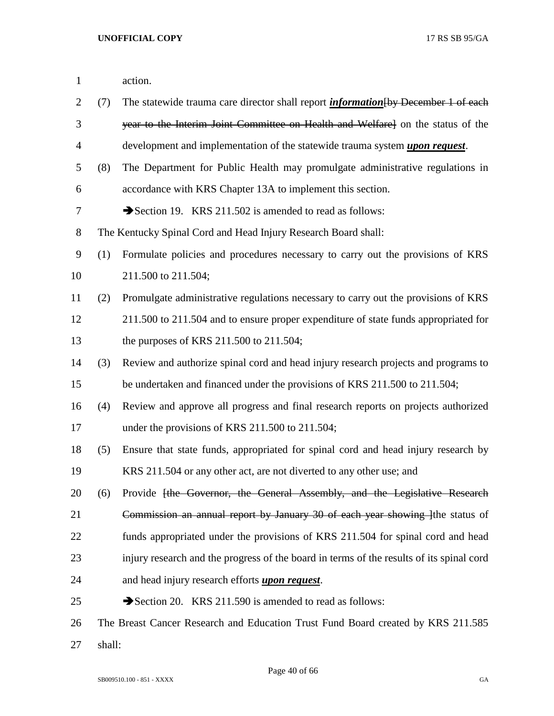| $\mathbf{1}$   |        | action.                                                                                   |
|----------------|--------|-------------------------------------------------------------------------------------------|
| $\overline{2}$ | (7)    | The statewide trauma care director shall report <i>information</i> [by December 1 of each |
| 3              |        | year to the Interim Joint Committee on Health and Welfare] on the status of the           |
| $\overline{4}$ |        | development and implementation of the statewide trauma system <i>upon request</i> .       |
| 5              | (8)    | The Department for Public Health may promulgate administrative regulations in             |
| 6              |        | accordance with KRS Chapter 13A to implement this section.                                |
| 7              |        | Section 19. KRS 211.502 is amended to read as follows:                                    |
| 8              |        | The Kentucky Spinal Cord and Head Injury Research Board shall:                            |
| 9              | (1)    | Formulate policies and procedures necessary to carry out the provisions of KRS            |
| 10             |        | 211.500 to 211.504;                                                                       |
| 11             | (2)    | Promulgate administrative regulations necessary to carry out the provisions of KRS        |
| 12             |        | 211.500 to 211.504 and to ensure proper expenditure of state funds appropriated for       |
| 13             |        | the purposes of KRS 211.500 to 211.504;                                                   |
| 14             | (3)    | Review and authorize spinal cord and head injury research projects and programs to        |
| 15             |        | be undertaken and financed under the provisions of KRS 211.500 to 211.504;                |
| 16             | (4)    | Review and approve all progress and final research reports on projects authorized         |
| 17             |        | under the provisions of KRS 211.500 to 211.504;                                           |
| 18             | (5)    | Ensure that state funds, appropriated for spinal cord and head injury research by         |
| 19             |        | KRS 211.504 or any other act, are not diverted to any other use; and                      |
| 20             | (6)    | Provide [the Governor, the General Assembly, and the Legislative Research                 |
| 21             |        | Commission an annual report by January 30 of each year showing line status of             |
| 22             |        | funds appropriated under the provisions of KRS 211.504 for spinal cord and head           |
| 23             |        | injury research and the progress of the board in terms of the results of its spinal cord  |
| 24             |        | and head injury research efforts <i>upon request</i> .                                    |
| 25             |        | Section 20. KRS 211.590 is amended to read as follows:                                    |
| 26             |        | The Breast Cancer Research and Education Trust Fund Board created by KRS 211.585          |
| 27             | shall: |                                                                                           |

Page 40 of 66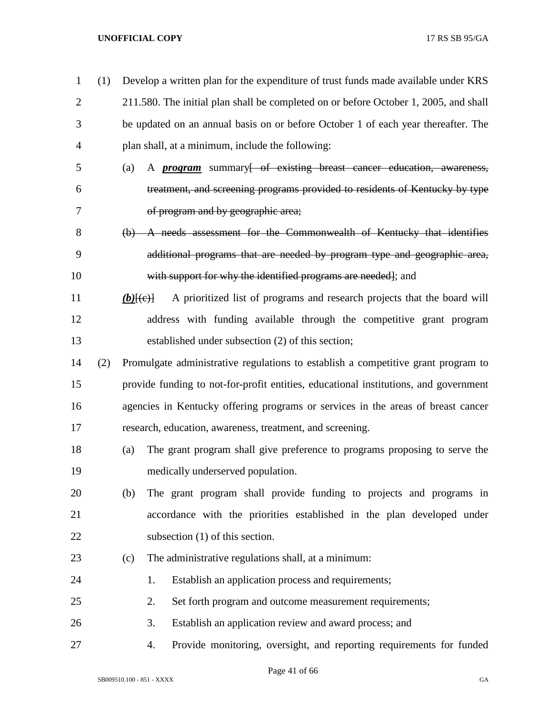| $\mathbf{1}$   | (1) |                                   | Develop a written plan for the expenditure of trust funds made available under KRS    |
|----------------|-----|-----------------------------------|---------------------------------------------------------------------------------------|
| $\overline{2}$ |     |                                   | 211.580. The initial plan shall be completed on or before October 1, 2005, and shall  |
| 3              |     |                                   | be updated on an annual basis on or before October 1 of each year thereafter. The     |
| 4              |     |                                   | plan shall, at a minimum, include the following:                                      |
| 5              |     | (a)                               | A <i>program</i> summary <del>[ of existing breast cancer education, awareness,</del> |
| 6              |     |                                   | treatment, and screening programs provided to residents of Kentucky by type           |
| 7              |     |                                   | of program and by geographic area;                                                    |
| 8              |     |                                   | (b) A needs assessment for the Commonwealth of Kentucky that identifies               |
| 9              |     |                                   | additional programs that are needed by program type and geographic area,              |
| 10             |     |                                   | with support for why the identified programs are needed]; and                         |
| 11             |     | $(b)$ [ $\left(\epsilon\right)$ ] | A prioritized list of programs and research projects that the board will              |
| 12             |     |                                   | address with funding available through the competitive grant program                  |
| 13             |     |                                   | established under subsection (2) of this section;                                     |
| 14             | (2) |                                   | Promulgate administrative regulations to establish a competitive grant program to     |
| 15             |     |                                   | provide funding to not-for-profit entities, educational institutions, and government  |
| 16             |     |                                   | agencies in Kentucky offering programs or services in the areas of breast cancer      |
| 17             |     |                                   | research, education, awareness, treatment, and screening.                             |
| 18             |     | (a)                               | The grant program shall give preference to programs proposing to serve the            |
| 19             |     |                                   | medically underserved population.                                                     |
| 20             |     | (b)                               | The grant program shall provide funding to projects and programs in                   |
| 21             |     |                                   | accordance with the priorities established in the plan developed under                |
| 22             |     |                                   | subsection $(1)$ of this section.                                                     |
| 23             |     | (c)                               | The administrative regulations shall, at a minimum:                                   |
| 24             |     |                                   | Establish an application process and requirements;<br>1.                              |
| 25             |     |                                   | 2.<br>Set forth program and outcome measurement requirements;                         |
| 26             |     |                                   | 3.<br>Establish an application review and award process; and                          |
| 27             |     |                                   | Provide monitoring, oversight, and reporting requirements for funded<br>4.            |

Page 41 of 66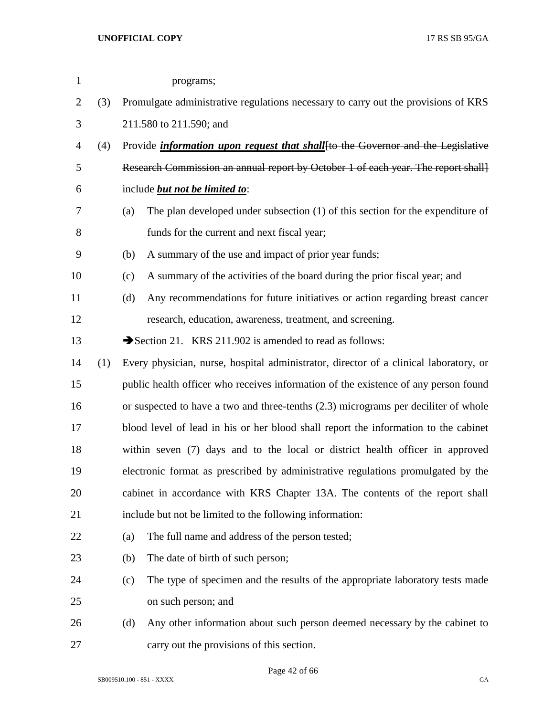| $\mathbf{1}$   |     |                                                                                     | programs;                                                                               |
|----------------|-----|-------------------------------------------------------------------------------------|-----------------------------------------------------------------------------------------|
| $\overline{2}$ | (3) |                                                                                     | Promulgate administrative regulations necessary to carry out the provisions of KRS      |
| 3              |     |                                                                                     | 211.580 to 211.590; and                                                                 |
| 4              | (4) |                                                                                     | Provide <i>information upon request that shall</i> [to the Governor and the Legislative |
| 5              |     |                                                                                     | Research Commission an annual report by October 1 of each year. The report shall        |
| 6              |     |                                                                                     | include <b>but not be limited to:</b>                                                   |
| 7              |     | (a)                                                                                 | The plan developed under subsection $(1)$ of this section for the expenditure of        |
| 8              |     |                                                                                     | funds for the current and next fiscal year;                                             |
| 9              |     | (b)                                                                                 | A summary of the use and impact of prior year funds;                                    |
| 10             |     | (c)                                                                                 | A summary of the activities of the board during the prior fiscal year; and              |
| 11             |     | (d)                                                                                 | Any recommendations for future initiatives or action regarding breast cancer            |
| 12             |     |                                                                                     | research, education, awareness, treatment, and screening.                               |
| 13             |     |                                                                                     | Section 21. KRS 211.902 is amended to read as follows:                                  |
| 14             | (1) |                                                                                     | Every physician, nurse, hospital administrator, director of a clinical laboratory, or   |
| 15             |     |                                                                                     | public health officer who receives information of the existence of any person found     |
| 16             |     |                                                                                     | or suspected to have a two and three-tenths (2.3) micrograms per deciliter of whole     |
| 17             |     | blood level of lead in his or her blood shall report the information to the cabinet |                                                                                         |
| 18             |     | within seven (7) days and to the local or district health officer in approved       |                                                                                         |
| 19             |     |                                                                                     | electronic format as prescribed by administrative regulations promulgated by the        |
| 20             |     |                                                                                     | cabinet in accordance with KRS Chapter 13A. The contents of the report shall            |
| 21             |     |                                                                                     | include but not be limited to the following information:                                |
| 22             |     | (a)                                                                                 | The full name and address of the person tested;                                         |
| 23             |     | (b)                                                                                 | The date of birth of such person;                                                       |
| 24             |     | (c)                                                                                 | The type of specimen and the results of the appropriate laboratory tests made           |
| 25             |     |                                                                                     | on such person; and                                                                     |
| 26             |     | (d)                                                                                 | Any other information about such person deemed necessary by the cabinet to              |
| 27             |     |                                                                                     | carry out the provisions of this section.                                               |

Page 42 of 66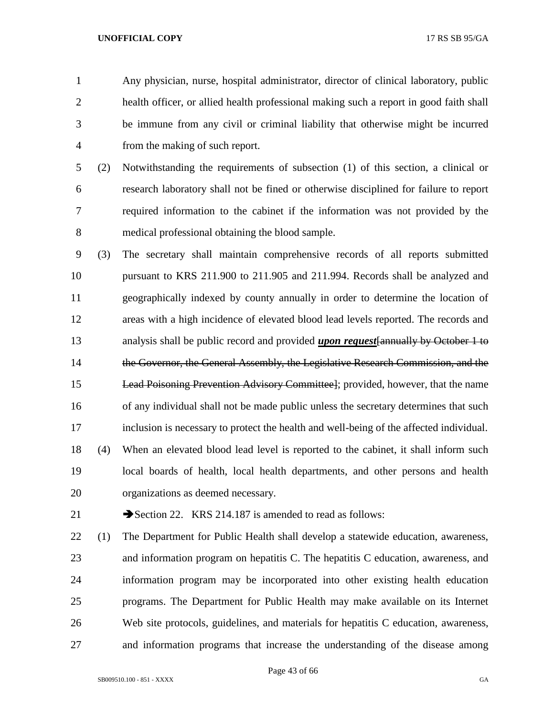Any physician, nurse, hospital administrator, director of clinical laboratory, public health officer, or allied health professional making such a report in good faith shall be immune from any civil or criminal liability that otherwise might be incurred from the making of such report.

 (2) Notwithstanding the requirements of subsection (1) of this section, a clinical or research laboratory shall not be fined or otherwise disciplined for failure to report required information to the cabinet if the information was not provided by the medical professional obtaining the blood sample.

- (3) The secretary shall maintain comprehensive records of all reports submitted pursuant to KRS 211.900 to 211.905 and 211.994. Records shall be analyzed and geographically indexed by county annually in order to determine the location of areas with a high incidence of elevated blood lead levels reported. The records and analysis shall be public record and provided *upon request*[annually by October 1 to 14 the Governor, the General Assembly, the Legislative Research Commission, and the Lead Poisoning Prevention Advisory Committee]; provided, however, that the name of any individual shall not be made public unless the secretary determines that such inclusion is necessary to protect the health and well-being of the affected individual. (4) When an elevated blood lead level is reported to the cabinet, it shall inform such local boards of health, local health departments, and other persons and health organizations as deemed necessary.
- 

21 Section 22. KRS 214.187 is amended to read as follows:

 (1) The Department for Public Health shall develop a statewide education, awareness, and information program on hepatitis C. The hepatitis C education, awareness, and information program may be incorporated into other existing health education programs. The Department for Public Health may make available on its Internet Web site protocols, guidelines, and materials for hepatitis C education, awareness, and information programs that increase the understanding of the disease among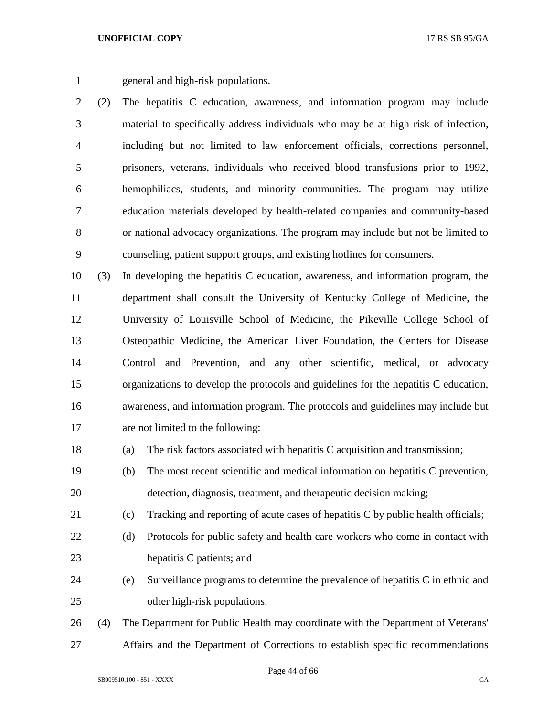general and high-risk populations.

 (2) The hepatitis C education, awareness, and information program may include material to specifically address individuals who may be at high risk of infection, including but not limited to law enforcement officials, corrections personnel, prisoners, veterans, individuals who received blood transfusions prior to 1992, hemophiliacs, students, and minority communities. The program may utilize education materials developed by health-related companies and community-based or national advocacy organizations. The program may include but not be limited to counseling, patient support groups, and existing hotlines for consumers.

 (3) In developing the hepatitis C education, awareness, and information program, the department shall consult the University of Kentucky College of Medicine, the University of Louisville School of Medicine, the Pikeville College School of Osteopathic Medicine, the American Liver Foundation, the Centers for Disease Control and Prevention, and any other scientific, medical, or advocacy organizations to develop the protocols and guidelines for the hepatitis C education, awareness, and information program. The protocols and guidelines may include but are not limited to the following:

- (a) The risk factors associated with hepatitis C acquisition and transmission;
- (b) The most recent scientific and medical information on hepatitis C prevention, detection, diagnosis, treatment, and therapeutic decision making;
- (c) Tracking and reporting of acute cases of hepatitis C by public health officials;
- (d) Protocols for public safety and health care workers who come in contact with hepatitis C patients; and
- (e) Surveillance programs to determine the prevalence of hepatitis C in ethnic and other high-risk populations.
- (4) The Department for Public Health may coordinate with the Department of Veterans' Affairs and the Department of Corrections to establish specific recommendations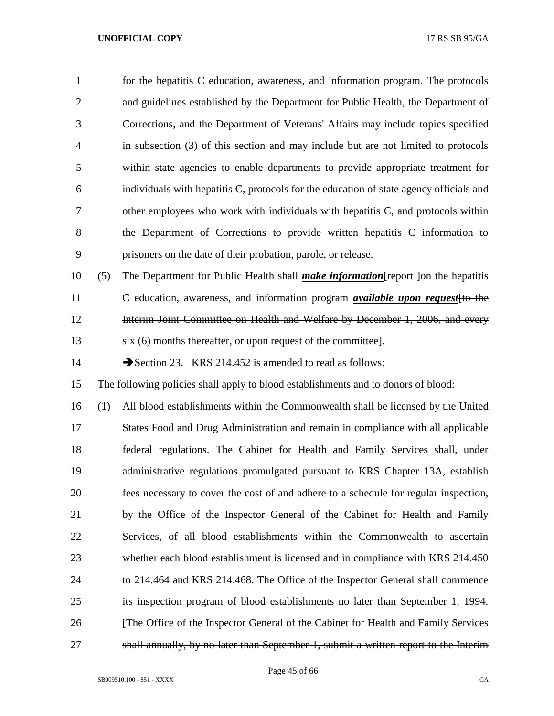| 1              |     | for the hepatitis C education, awareness, and information program. The protocols         |
|----------------|-----|------------------------------------------------------------------------------------------|
| $\overline{2}$ |     | and guidelines established by the Department for Public Health, the Department of        |
| 3              |     | Corrections, and the Department of Veterans' Affairs may include topics specified        |
| $\overline{4}$ |     | in subsection (3) of this section and may include but are not limited to protocols       |
| 5              |     | within state agencies to enable departments to provide appropriate treatment for         |
| 6              |     | individuals with hepatitis C, protocols for the education of state agency officials and  |
| 7              |     | other employees who work with individuals with hepatitis C, and protocols within         |
| 8              |     | the Department of Corrections to provide written hepatitis C information to              |
| 9              |     | prisoners on the date of their probation, parole, or release.                            |
| 10             | (5) | The Department for Public Health shall <i>make information</i> Freport lon the hepatitis |
| 11             |     | C education, awareness, and information program <i>available upon request</i> [to the    |

**Interim Joint Committee on Health and Welfare by December 1, 2006, and every** six (6) months thereafter, or upon request of the committee].

14 Section 23. KRS 214.452 is amended to read as follows:

The following policies shall apply to blood establishments and to donors of blood:

 (1) All blood establishments within the Commonwealth shall be licensed by the United States Food and Drug Administration and remain in compliance with all applicable federal regulations. The Cabinet for Health and Family Services shall, under administrative regulations promulgated pursuant to KRS Chapter 13A, establish fees necessary to cover the cost of and adhere to a schedule for regular inspection, by the Office of the Inspector General of the Cabinet for Health and Family Services, of all blood establishments within the Commonwealth to ascertain whether each blood establishment is licensed and in compliance with KRS 214.450 to 214.464 and KRS 214.468. The Office of the Inspector General shall commence its inspection program of blood establishments no later than September 1, 1994. **Figure 1.1** [The Office of the Inspector General of the Cabinet for Health and Family Services shall annually, by no later than September 1, submit a written report to the Interim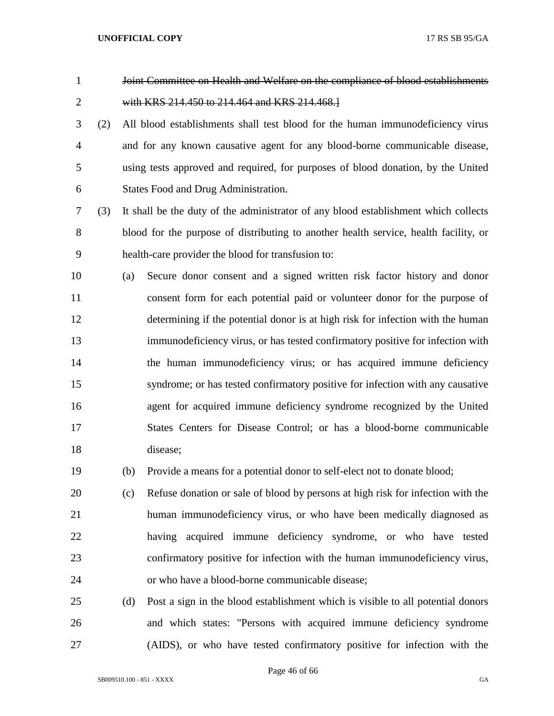Joint Committee on Health and Welfare on the compliance of blood establishments with KRS 214.450 to 214.464 and KRS 214.468.]

 (2) All blood establishments shall test blood for the human immunodeficiency virus and for any known causative agent for any blood-borne communicable disease, using tests approved and required, for purposes of blood donation, by the United States Food and Drug Administration.

 (3) It shall be the duty of the administrator of any blood establishment which collects blood for the purpose of distributing to another health service, health facility, or health-care provider the blood for transfusion to:

 (a) Secure donor consent and a signed written risk factor history and donor consent form for each potential paid or volunteer donor for the purpose of determining if the potential donor is at high risk for infection with the human immunodeficiency virus, or has tested confirmatory positive for infection with the human immunodeficiency virus; or has acquired immune deficiency syndrome; or has tested confirmatory positive for infection with any causative agent for acquired immune deficiency syndrome recognized by the United States Centers for Disease Control; or has a blood-borne communicable disease;

(b) Provide a means for a potential donor to self-elect not to donate blood;

 (c) Refuse donation or sale of blood by persons at high risk for infection with the human immunodeficiency virus, or who have been medically diagnosed as having acquired immune deficiency syndrome, or who have tested confirmatory positive for infection with the human immunodeficiency virus, or who have a blood-borne communicable disease;

 (d) Post a sign in the blood establishment which is visible to all potential donors and which states: "Persons with acquired immune deficiency syndrome (AIDS), or who have tested confirmatory positive for infection with the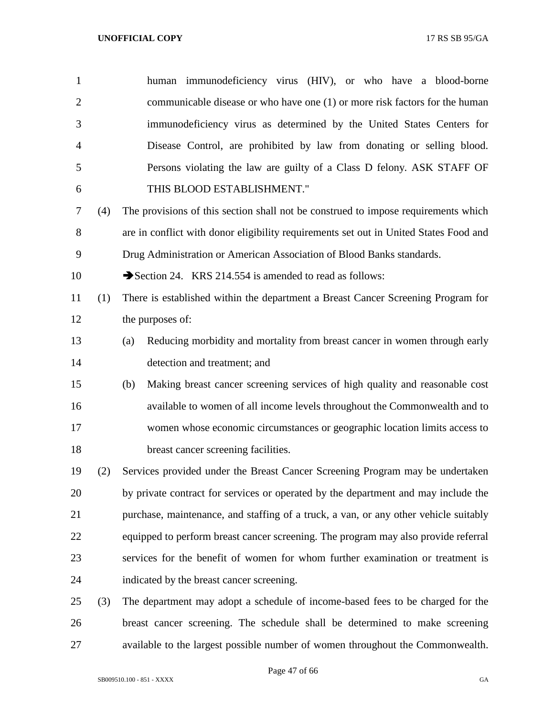| $\mathbf{1}$   |     | human immunodeficiency virus (HIV), or who have a blood-borne                         |
|----------------|-----|---------------------------------------------------------------------------------------|
| $\overline{2}$ |     | communicable disease or who have one (1) or more risk factors for the human           |
| 3              |     | immunodeficiency virus as determined by the United States Centers for                 |
| $\overline{4}$ |     | Disease Control, are prohibited by law from donating or selling blood.                |
| 5              |     | Persons violating the law are guilty of a Class D felony. ASK STAFF OF                |
| 6              |     | THIS BLOOD ESTABLISHMENT."                                                            |
| $\tau$         | (4) | The provisions of this section shall not be construed to impose requirements which    |
| 8              |     | are in conflict with donor eligibility requirements set out in United States Food and |
| 9              |     | Drug Administration or American Association of Blood Banks standards.                 |
| 10             |     | Section 24. KRS 214.554 is amended to read as follows:                                |
| 11             | (1) | There is established within the department a Breast Cancer Screening Program for      |
| 12             |     | the purposes of:                                                                      |
| 13             |     | Reducing morbidity and mortality from breast cancer in women through early<br>(a)     |
| 14             |     | detection and treatment; and                                                          |
| 15             |     | Making breast cancer screening services of high quality and reasonable cost<br>(b)    |
| 16             |     | available to women of all income levels throughout the Commonwealth and to            |
| 17             |     | women whose economic circumstances or geographic location limits access to            |
| 18             |     | breast cancer screening facilities.                                                   |
| 19             | (2) | Services provided under the Breast Cancer Screening Program may be undertaken         |
| 20             |     | by private contract for services or operated by the department and may include the    |
| 21             |     | purchase, maintenance, and staffing of a truck, a van, or any other vehicle suitably  |
| 22             |     | equipped to perform breast cancer screening. The program may also provide referral    |
| 23             |     | services for the benefit of women for whom further examination or treatment is        |
| 24             |     | indicated by the breast cancer screening.                                             |
| 25             | (3) | The department may adopt a schedule of income-based fees to be charged for the        |
| 26             |     | breast cancer screening. The schedule shall be determined to make screening           |
| 27             |     | available to the largest possible number of women throughout the Commonwealth.        |

Page 47 of 66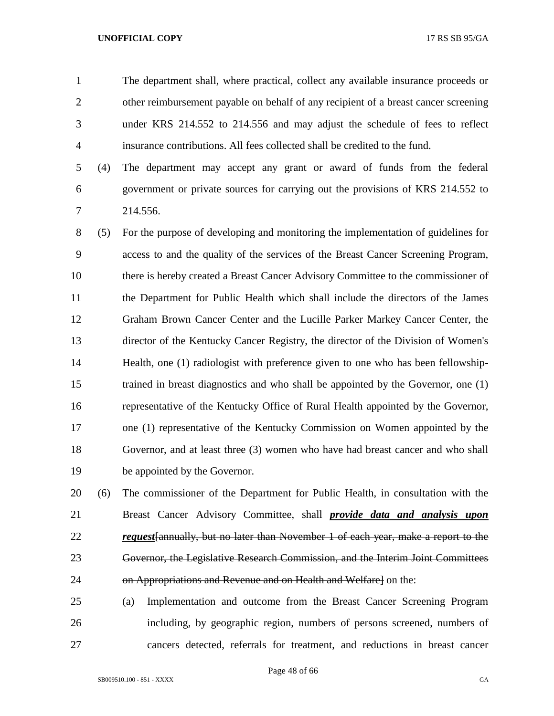The department shall, where practical, collect any available insurance proceeds or other reimbursement payable on behalf of any recipient of a breast cancer screening under KRS 214.552 to 214.556 and may adjust the schedule of fees to reflect insurance contributions. All fees collected shall be credited to the fund.

 (4) The department may accept any grant or award of funds from the federal government or private sources for carrying out the provisions of KRS 214.552 to 214.556.

 (5) For the purpose of developing and monitoring the implementation of guidelines for access to and the quality of the services of the Breast Cancer Screening Program, there is hereby created a Breast Cancer Advisory Committee to the commissioner of the Department for Public Health which shall include the directors of the James Graham Brown Cancer Center and the Lucille Parker Markey Cancer Center, the director of the Kentucky Cancer Registry, the director of the Division of Women's Health, one (1) radiologist with preference given to one who has been fellowship- trained in breast diagnostics and who shall be appointed by the Governor, one (1) representative of the Kentucky Office of Rural Health appointed by the Governor, one (1) representative of the Kentucky Commission on Women appointed by the Governor, and at least three (3) women who have had breast cancer and who shall be appointed by the Governor.

 (6) The commissioner of the Department for Public Health, in consultation with the Breast Cancer Advisory Committee, shall *provide data and analysis upon request*[annually, but no later than November 1 of each year, make a report to the Governor, the Legislative Research Commission, and the Interim Joint Committees 24 on Appropriations and Revenue and on Health and Welfarel on the:

 (a) Implementation and outcome from the Breast Cancer Screening Program including, by geographic region, numbers of persons screened, numbers of cancers detected, referrals for treatment, and reductions in breast cancer

Page 48 of 66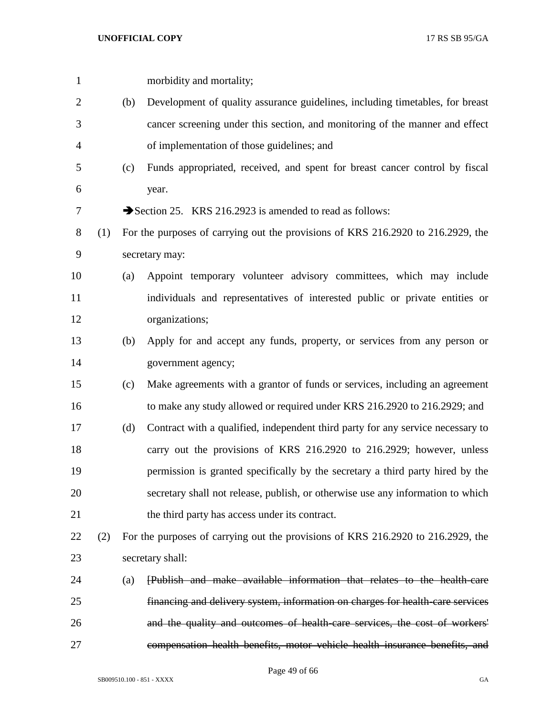| $\mathbf{1}$   |     |     | morbidity and mortality;                                                         |
|----------------|-----|-----|----------------------------------------------------------------------------------|
| $\overline{2}$ |     | (b) | Development of quality assurance guidelines, including timetables, for breast    |
| 3              |     |     | cancer screening under this section, and monitoring of the manner and effect     |
| $\overline{4}$ |     |     | of implementation of those guidelines; and                                       |
| 5              |     | (c) | Funds appropriated, received, and spent for breast cancer control by fiscal      |
| 6              |     |     | year.                                                                            |
| 7              |     |     | Section 25. KRS 216.2923 is amended to read as follows:                          |
| 8              | (1) |     | For the purposes of carrying out the provisions of KRS 216.2920 to 216.2929, the |
| 9              |     |     | secretary may:                                                                   |
| 10             |     | (a) | Appoint temporary volunteer advisory committees, which may include               |
| 11             |     |     | individuals and representatives of interested public or private entities or      |
| 12             |     |     | organizations;                                                                   |
| 13             |     | (b) | Apply for and accept any funds, property, or services from any person or         |
| 14             |     |     | government agency;                                                               |
| 15             |     | (c) | Make agreements with a grantor of funds or services, including an agreement      |
| 16             |     |     | to make any study allowed or required under KRS 216.2920 to 216.2929; and        |
| 17             |     | (d) | Contract with a qualified, independent third party for any service necessary to  |
| 18             |     |     | carry out the provisions of KRS 216.2920 to 216.2929; however, unless            |
| 19             |     |     | permission is granted specifically by the secretary a third party hired by the   |
| 20             |     |     | secretary shall not release, publish, or otherwise use any information to which  |
| 21             |     |     | the third party has access under its contract.                                   |
| 22             | (2) |     | For the purposes of carrying out the provisions of KRS 216.2920 to 216.2929, the |
| 23             |     |     | secretary shall:                                                                 |
| 24             |     | (a) | <b>Publish and make available information that relates to the health-care</b>    |
| 25             |     |     | financing and delivery system, information on charges for health-care services   |
| 26             |     |     | and the quality and outcomes of health-care services, the cost of workers'       |
| 27             |     |     | compensation health benefits, motor vehicle health insurance benefits, and       |
|                |     |     |                                                                                  |

Page 49 of 66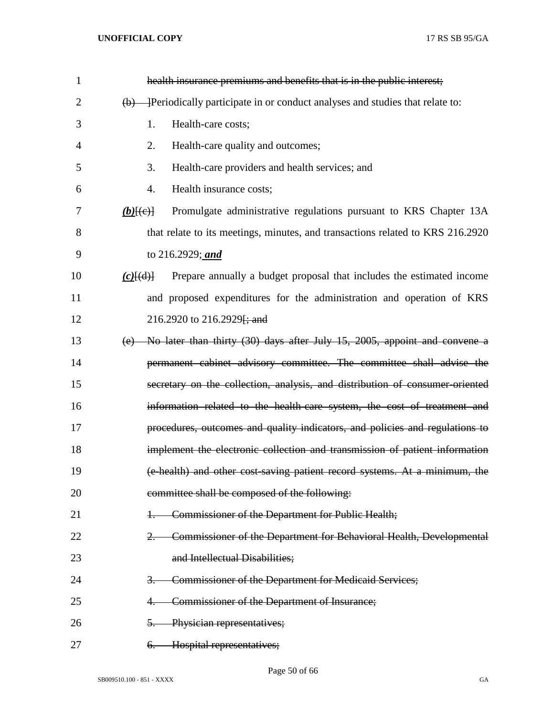| $\mathbf{1}$   | health insurance premiums and benefits that is in the public interest;                            |
|----------------|---------------------------------------------------------------------------------------------------|
| $\overline{2}$ | Periodically participate in or conduct analyses and studies that relate to:<br>(b)                |
| 3              | 1.<br>Health-care costs;                                                                          |
| 4              | 2.<br>Health-care quality and outcomes;                                                           |
| 5              | 3.<br>Health-care providers and health services; and                                              |
| 6              | 4.<br>Health insurance costs;                                                                     |
| 7              | Promulgate administrative regulations pursuant to KRS Chapter 13A<br>$(b)$ $(e)$                  |
| 8              | that relate to its meetings, minutes, and transactions related to KRS 216.2920                    |
| 9              | to 216.2929; and                                                                                  |
| 10             | Prepare annually a budget proposal that includes the estimated income<br>$(c)$ $\{(\mathrm{d})\}$ |
| 11             | and proposed expenditures for the administration and operation of KRS                             |
| 12             | 216.2920 to 216.2929 <del>[; and</del>                                                            |
| 13             | No later than thirty (30) days after July 15, 2005, appoint and convene a<br>(e)                  |
| 14             | permanent cabinet advisory committee. The committee shall advise the                              |
| 15             | secretary on the collection, analysis, and distribution of consumer-oriented                      |
| 16             | information related to the health-care system, the cost of treatment and                          |
| 17             | procedures, outcomes and quality indicators, and policies and regulations to                      |
| 18             | implement the electronic collection and transmission of patient information                       |
| 19             | (e-health) and other cost-saving patient record systems. At a minimum, the                        |
| 20             | committee shall be composed of the following:                                                     |
| 21             | Commissioner of the Department for Public Health;                                                 |
| 22             | Commissioner of the Department for Behavioral Health, Developmental                               |
| 23             | and Intellectual Disabilities;                                                                    |
| 24             | Commissioner of the Department for Medicaid Services;                                             |
| 25             | Commissioner of the Department of Insurance;                                                      |
| 26             | Physician representatives;<br>5.                                                                  |
| 27             | Hospital representatives;<br><del>6.</del>                                                        |

Page 50 of 66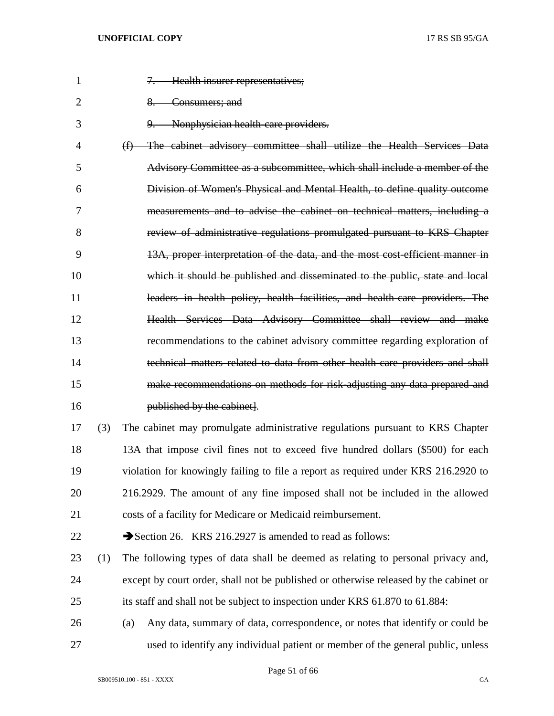| $\mathbf{1}$ |     | 7. Health insurer representatives;                                                    |
|--------------|-----|---------------------------------------------------------------------------------------|
| 2            |     | 8. Consumers; and                                                                     |
| 3            |     | Nonphysician health care providers.<br>9.                                             |
| 4            |     | (f) The cabinet advisory committee shall utilize the Health Services Data             |
| 5            |     | Advisory Committee as a subcommittee, which shall include a member of the             |
| 6            |     | Division of Women's Physical and Mental Health, to define quality outcome             |
| 7            |     | measurements and to advise the cabinet on technical matters, including a              |
| 8            |     | review of administrative regulations promulgated pursuant to KRS Chapter              |
| 9            |     | 13A, proper interpretation of the data, and the most cost efficient manner in         |
| 10           |     | which it should be published and disseminated to the public, state and local          |
| 11           |     | leaders in health policy, health facilities, and health care providers. The           |
| 12           |     | Health Services Data Advisory Committee shall review and make                         |
| 13           |     | recommendations to the cabinet advisory committee regarding exploration of            |
| 14           |     | technical matters related to data from other health care providers and shall          |
| 15           |     | make recommendations on methods for risk adjusting any data prepared and              |
| 16           |     | published by the cabinet.                                                             |
| 17           | (3) | The cabinet may promulgate administrative regulations pursuant to KRS Chapter         |
| 18           |     | 13A that impose civil fines not to exceed five hundred dollars (\$500) for each       |
| 19           |     | violation for knowingly failing to file a report as required under KRS 216.2920 to    |
| 20           |     | 216.2929. The amount of any fine imposed shall not be included in the allowed         |
| 21           |     | costs of a facility for Medicare or Medicaid reimbursement.                           |
| 22           |     | Section 26. KRS 216.2927 is amended to read as follows:                               |
| 23           | (1) | The following types of data shall be deemed as relating to personal privacy and,      |
| 24           |     | except by court order, shall not be published or otherwise released by the cabinet or |
| 25           |     | its staff and shall not be subject to inspection under KRS 61.870 to 61.884:          |
| 26           |     | Any data, summary of data, correspondence, or notes that identify or could be<br>(a)  |
| 27           |     | used to identify any individual patient or member of the general public, unless       |

Page 51 of 66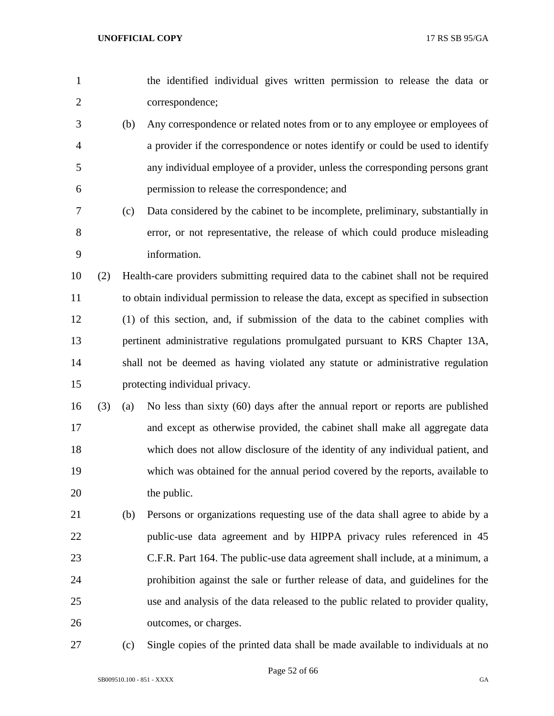| $\mathbf{1}$   |     |     | the identified individual gives written permission to release the data or              |
|----------------|-----|-----|----------------------------------------------------------------------------------------|
| $\overline{2}$ |     |     | correspondence;                                                                        |
| 3              |     | (b) | Any correspondence or related notes from or to any employee or employees of            |
| 4              |     |     | a provider if the correspondence or notes identify or could be used to identify        |
| 5              |     |     | any individual employee of a provider, unless the corresponding persons grant          |
| 6              |     |     | permission to release the correspondence; and                                          |
| 7              |     | (c) | Data considered by the cabinet to be incomplete, preliminary, substantially in         |
| 8              |     |     | error, or not representative, the release of which could produce misleading            |
| 9              |     |     | information.                                                                           |
| 10             | (2) |     | Health-care providers submitting required data to the cabinet shall not be required    |
| 11             |     |     | to obtain individual permission to release the data, except as specified in subsection |
| 12             |     |     | (1) of this section, and, if submission of the data to the cabinet complies with       |
| 13             |     |     | pertinent administrative regulations promulgated pursuant to KRS Chapter 13A,          |
| 14             |     |     | shall not be deemed as having violated any statute or administrative regulation        |
| 15             |     |     | protecting individual privacy.                                                         |
| 16             | (3) | (a) | No less than sixty (60) days after the annual report or reports are published          |
| 17             |     |     | and except as otherwise provided, the cabinet shall make all aggregate data            |
| 18             |     |     | which does not allow disclosure of the identity of any individual patient, and         |
| 19             |     |     | which was obtained for the annual period covered by the reports, available to          |
| 20             |     |     | the public.                                                                            |
| 21             |     | (b) | Persons or organizations requesting use of the data shall agree to abide by a          |
| 22             |     |     | public-use data agreement and by HIPPA privacy rules referenced in 45                  |
| 23             |     |     | C.F.R. Part 164. The public-use data agreement shall include, at a minimum, a          |
| 24             |     |     | prohibition against the sale or further release of data, and guidelines for the        |
| 25             |     |     | use and analysis of the data released to the public related to provider quality,       |
| 26             |     |     | outcomes, or charges.                                                                  |
| 27             |     | (c) | Single copies of the printed data shall be made available to individuals at no         |

Page 52 of 66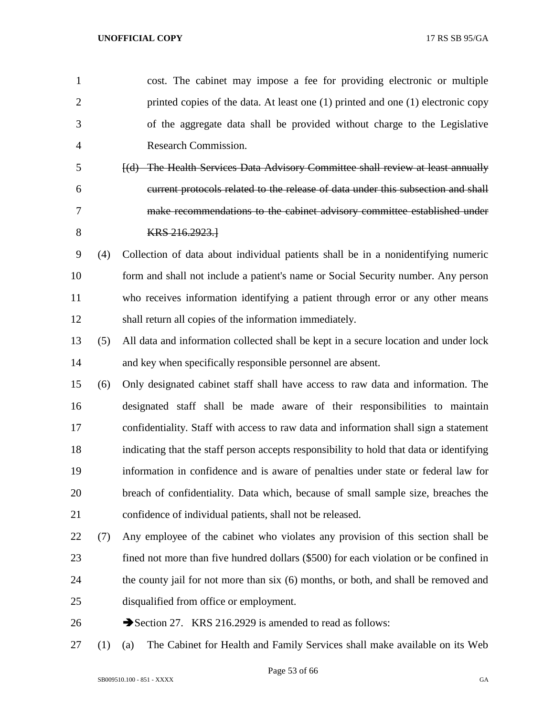| $\mathbf{1}$   |     | cost. The cabinet may impose a fee for providing electronic or multiple                  |
|----------------|-----|------------------------------------------------------------------------------------------|
| $\overline{2}$ |     | printed copies of the data. At least one (1) printed and one (1) electronic copy         |
| 3              |     | of the aggregate data shall be provided without charge to the Legislative                |
| 4              |     | Research Commission.                                                                     |
| 5              |     | [(d) The Health Services Data Advisory Committee shall review at least annually          |
| 6              |     | current protocols related to the release of data under this subsection and shall         |
| 7              |     | make recommendations to the cabinet advisory committee established under                 |
| 8              |     | KRS 216.2923.1                                                                           |
| 9              | (4) | Collection of data about individual patients shall be in a nonidentifying numeric        |
| 10             |     | form and shall not include a patient's name or Social Security number. Any person        |
| 11             |     | who receives information identifying a patient through error or any other means          |
| 12             |     | shall return all copies of the information immediately.                                  |
| 13             | (5) | All data and information collected shall be kept in a secure location and under lock     |
| 14             |     | and key when specifically responsible personnel are absent.                              |
| 15             | (6) | Only designated cabinet staff shall have access to raw data and information. The         |
| 16             |     | designated staff shall be made aware of their responsibilities to maintain               |
| 17             |     | confidentiality. Staff with access to raw data and information shall sign a statement    |
| 18             |     | indicating that the staff person accepts responsibility to hold that data or identifying |
| 19             |     | information in confidence and is aware of penalties under state or federal law for       |
| 20             |     | breach of confidentiality. Data which, because of small sample size, breaches the        |
| 21             |     | confidence of individual patients, shall not be released.                                |
| 22             | (7) | Any employee of the cabinet who violates any provision of this section shall be          |
| 23             |     | fined not more than five hundred dollars (\$500) for each violation or be confined in    |
| 24             |     | the county jail for not more than six (6) months, or both, and shall be removed and      |
| 25             |     | disqualified from office or employment.                                                  |
| 26             |     | Section 27. KRS 216.2929 is amended to read as follows:                                  |
|                |     |                                                                                          |

(1) (a) The Cabinet for Health and Family Services shall make available on its Web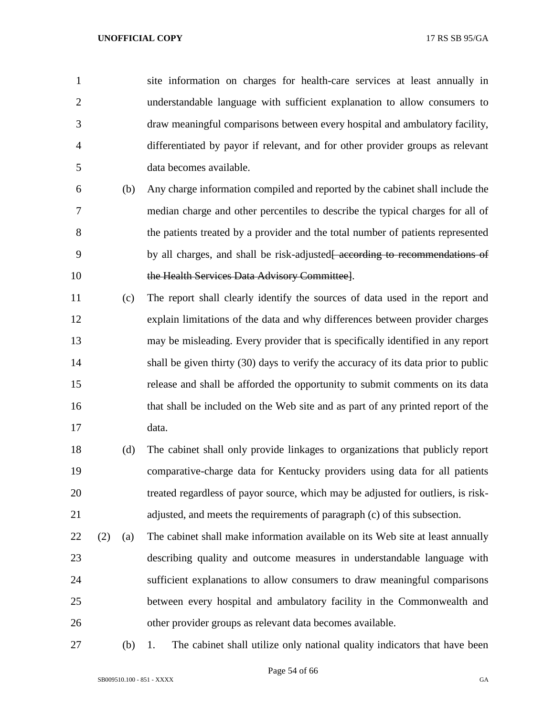site information on charges for health-care services at least annually in understandable language with sufficient explanation to allow consumers to draw meaningful comparisons between every hospital and ambulatory facility, differentiated by payor if relevant, and for other provider groups as relevant data becomes available.

- (b) Any charge information compiled and reported by the cabinet shall include the median charge and other percentiles to describe the typical charges for all of the patients treated by a provider and the total number of patients represented 9 by all charges, and shall be risk-adjusted<del>[ according to recommendations of</del> 10 the Health Services Data Advisory Committee].
- (c) The report shall clearly identify the sources of data used in the report and explain limitations of the data and why differences between provider charges may be misleading. Every provider that is specifically identified in any report shall be given thirty (30) days to verify the accuracy of its data prior to public release and shall be afforded the opportunity to submit comments on its data that shall be included on the Web site and as part of any printed report of the data.
- (d) The cabinet shall only provide linkages to organizations that publicly report comparative-charge data for Kentucky providers using data for all patients treated regardless of payor source, which may be adjusted for outliers, is risk-adjusted, and meets the requirements of paragraph (c) of this subsection.
- (2) (a) The cabinet shall make information available on its Web site at least annually describing quality and outcome measures in understandable language with sufficient explanations to allow consumers to draw meaningful comparisons between every hospital and ambulatory facility in the Commonwealth and other provider groups as relevant data becomes available.
- 

(b) 1. The cabinet shall utilize only national quality indicators that have been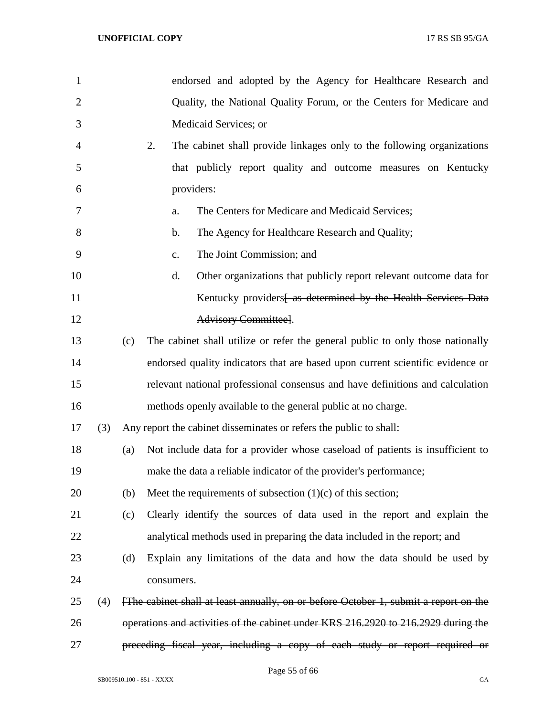| 1              |     |     | endorsed and adopted by the Agency for Healthcare Research and                      |
|----------------|-----|-----|-------------------------------------------------------------------------------------|
| $\overline{2}$ |     |     | Quality, the National Quality Forum, or the Centers for Medicare and                |
| 3              |     |     | Medicaid Services; or                                                               |
| 4              |     |     | 2.<br>The cabinet shall provide linkages only to the following organizations        |
| 5              |     |     | that publicly report quality and outcome measures on Kentucky                       |
| 6              |     |     | providers:                                                                          |
| 7              |     |     | The Centers for Medicare and Medicaid Services;<br>a.                               |
| 8              |     |     | The Agency for Healthcare Research and Quality;<br>b.                               |
| 9              |     |     | The Joint Commission; and<br>c.                                                     |
| 10             |     |     | d.<br>Other organizations that publicly report relevant outcome data for            |
| 11             |     |     | Kentucky providers as determined by the Health Services Data                        |
| 12             |     |     | Advisory Committee].                                                                |
| 13             |     | (c) | The cabinet shall utilize or refer the general public to only those nationally      |
| 14             |     |     | endorsed quality indicators that are based upon current scientific evidence or      |
| 15             |     |     | relevant national professional consensus and have definitions and calculation       |
| 16             |     |     | methods openly available to the general public at no charge.                        |
| 17             | (3) |     | Any report the cabinet disseminates or refers the public to shall:                  |
| 18             |     | (a) | Not include data for a provider whose caseload of patients is insufficient to       |
| 19             |     |     | make the data a reliable indicator of the provider's performance;                   |
| 20             |     | (b) | Meet the requirements of subsection $(1)(c)$ of this section;                       |
| 21             |     | (c) | Clearly identify the sources of data used in the report and explain the             |
| 22             |     |     | analytical methods used in preparing the data included in the report; and           |
| 23             |     | (d) | Explain any limitations of the data and how the data should be used by              |
| 24             |     |     | consumers.                                                                          |
| 25             | (4) |     | The cabinet shall at least annually, on or before October 1, submit a report on the |
| 26             |     |     | operations and activities of the cabinet under KRS 216.2920 to 216.2929 during the  |
| 27             |     |     | preceding fiscal year, including a copy of each study or report required or         |

Page 55 of 66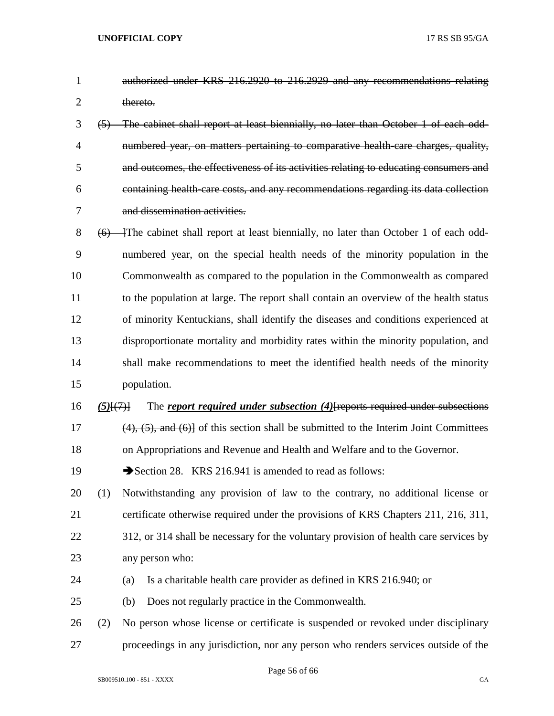- authorized under KRS 216.2920 to 216.2929 and any recommendations relating 2 thereto.
- (5) The cabinet shall report at least biennially, no later than October 1 of each odd- numbered year, on matters pertaining to comparative health-care charges, quality, and outcomes, the effectiveness of its activities relating to educating consumers and containing health-care costs, and any recommendations regarding its data collection and dissemination activities.
- 8 (6) The cabinet shall report at least biennially, no later than October 1 of each odd- numbered year, on the special health needs of the minority population in the Commonwealth as compared to the population in the Commonwealth as compared to the population at large. The report shall contain an overview of the health status of minority Kentuckians, shall identify the diseases and conditions experienced at disproportionate mortality and morbidity rates within the minority population, and shall make recommendations to meet the identified health needs of the minority population.
- *(5)*[(7)] The *report required under subsection (4)*[reports required under subsections 17 (4), (5), and (6)] of this section shall be submitted to the Interim Joint Committees on Appropriations and Revenue and Health and Welfare and to the Governor.
- 19 Section 28. KRS 216.941 is amended to read as follows:
- (1) Notwithstanding any provision of law to the contrary, no additional license or certificate otherwise required under the provisions of KRS Chapters 211, 216, 311,
- 22 312, or 314 shall be necessary for the voluntary provision of health care services by any person who:
- (a) Is a charitable health care provider as defined in KRS 216.940; or
- (b) Does not regularly practice in the Commonwealth.
- (2) No person whose license or certificate is suspended or revoked under disciplinary proceedings in any jurisdiction, nor any person who renders services outside of the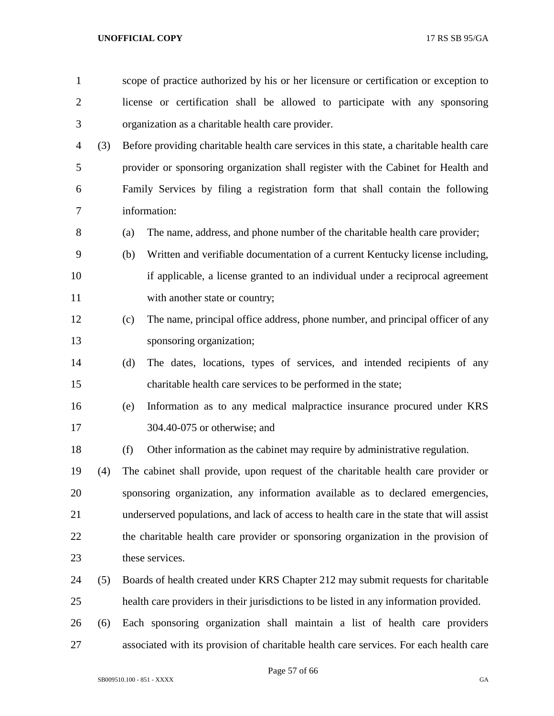| $\mathbf{1}$   |     | scope of practice authorized by his or her licensure or certification or exception to    |
|----------------|-----|------------------------------------------------------------------------------------------|
| $\overline{c}$ |     | license or certification shall be allowed to participate with any sponsoring             |
| 3              |     | organization as a charitable health care provider.                                       |
| 4              | (3) | Before providing charitable health care services in this state, a charitable health care |
| 5              |     | provider or sponsoring organization shall register with the Cabinet for Health and       |
| 6              |     | Family Services by filing a registration form that shall contain the following           |
| 7              |     | information:                                                                             |
| 8              |     | The name, address, and phone number of the charitable health care provider;<br>(a)       |
| 9              |     | Written and verifiable documentation of a current Kentucky license including,<br>(b)     |
| 10             |     | if applicable, a license granted to an individual under a reciprocal agreement           |
| 11             |     | with another state or country;                                                           |
| 12             |     | The name, principal office address, phone number, and principal officer of any<br>(c)    |
| 13             |     | sponsoring organization;                                                                 |
| 14             |     | The dates, locations, types of services, and intended recipients of any<br>(d)           |
| 15             |     | charitable health care services to be performed in the state;                            |
| 16             |     | Information as to any medical malpractice insurance procured under KRS<br>(e)            |
| 17             |     | 304.40-075 or otherwise; and                                                             |
| 18             |     | Other information as the cabinet may require by administrative regulation.<br>(f)        |
| 19             | (4) | The cabinet shall provide, upon request of the charitable health care provider or        |
| 20             |     | sponsoring organization, any information available as to declared emergencies,           |
| 21             |     | underserved populations, and lack of access to health care in the state that will assist |
| 22             |     | the charitable health care provider or sponsoring organization in the provision of       |
| 23             |     | these services.                                                                          |
| 24             | (5) | Boards of health created under KRS Chapter 212 may submit requests for charitable        |
| 25             |     | health care providers in their jurisdictions to be listed in any information provided.   |
| 26             | (6) | Each sponsoring organization shall maintain a list of health care providers              |
| 27             |     | associated with its provision of charitable health care services. For each health care   |

Page 57 of 66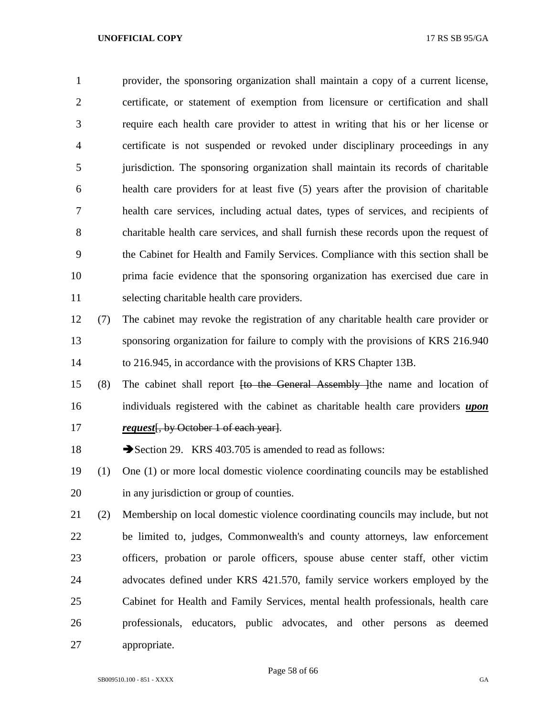provider, the sponsoring organization shall maintain a copy of a current license, certificate, or statement of exemption from licensure or certification and shall require each health care provider to attest in writing that his or her license or certificate is not suspended or revoked under disciplinary proceedings in any jurisdiction. The sponsoring organization shall maintain its records of charitable health care providers for at least five (5) years after the provision of charitable health care services, including actual dates, types of services, and recipients of charitable health care services, and shall furnish these records upon the request of the Cabinet for Health and Family Services. Compliance with this section shall be prima facie evidence that the sponsoring organization has exercised due care in selecting charitable health care providers.

- (7) The cabinet may revoke the registration of any charitable health care provider or sponsoring organization for failure to comply with the provisions of KRS 216.940 to 216.945, in accordance with the provisions of KRS Chapter 13B.
- (8) The cabinet shall report [to the General Assembly ]the name and location of individuals registered with the cabinet as charitable health care providers *upon request* [, by October 1 of each year].

18 Section 29. KRS 403.705 is amended to read as follows:

- (1) One (1) or more local domestic violence coordinating councils may be established in any jurisdiction or group of counties.
- (2) Membership on local domestic violence coordinating councils may include, but not be limited to, judges, Commonwealth's and county attorneys, law enforcement officers, probation or parole officers, spouse abuse center staff, other victim advocates defined under KRS 421.570, family service workers employed by the Cabinet for Health and Family Services, mental health professionals, health care professionals, educators, public advocates, and other persons as deemed appropriate.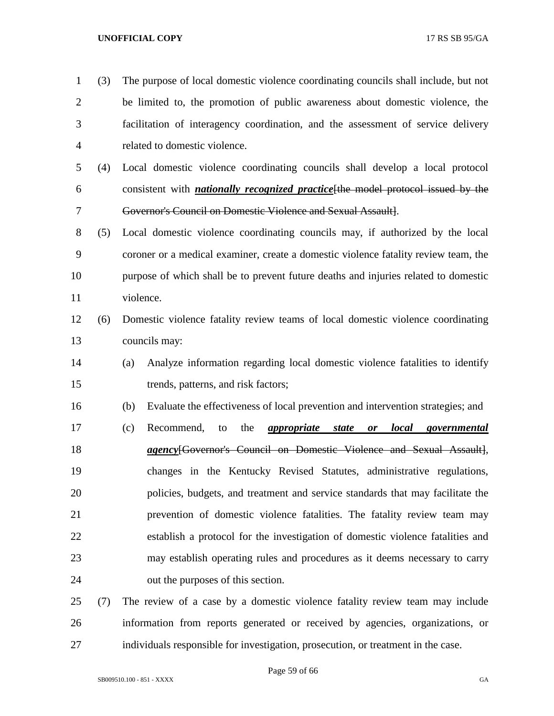| $\mathbf{1}$   | (3) | The purpose of local domestic violence coordinating councils shall include, but not              |
|----------------|-----|--------------------------------------------------------------------------------------------------|
| $\overline{2}$ |     | be limited to, the promotion of public awareness about domestic violence, the                    |
| 3              |     | facilitation of interagency coordination, and the assessment of service delivery                 |
| 4              |     | related to domestic violence.                                                                    |
| 5              | (4) | Local domestic violence coordinating councils shall develop a local protocol                     |
| 6              |     | consistent with <i>nationally recognized practice</i> [the model protocol issued by the          |
| 7              |     | Governor's Council on Domestic Violence and Sexual Assault].                                     |
| 8              | (5) | Local domestic violence coordinating councils may, if authorized by the local                    |
| 9              |     | coroner or a medical examiner, create a domestic violence fatality review team, the              |
| 10             |     | purpose of which shall be to prevent future deaths and injuries related to domestic              |
| 11             |     | violence.                                                                                        |
| 12             | (6) | Domestic violence fatality review teams of local domestic violence coordinating                  |
| 13             |     | councils may:                                                                                    |
| 14             |     | Analyze information regarding local domestic violence fatalities to identify<br>(a)              |
| 15             |     | trends, patterns, and risk factors;                                                              |
| 16             |     | Evaluate the effectiveness of local prevention and intervention strategies; and<br>(b)           |
| 17             |     | Recommend,<br>the<br><i>appropriate</i><br><i>local</i> governmental<br>(c)<br>to<br>state<br>or |
| 18             |     | agency[Governor's Council on Domestic Violence and Sexual Assault],                              |
| 19             |     | changes in the Kentucky Revised Statutes, administrative regulations,                            |
| 20             |     | policies, budgets, and treatment and service standards that may facilitate the                   |
| 21             |     | prevention of domestic violence fatalities. The fatality review team may                         |
| 22             |     | establish a protocol for the investigation of domestic violence fatalities and                   |
| 23             |     | may establish operating rules and procedures as it deems necessary to carry                      |
| 24             |     | out the purposes of this section.                                                                |
| 25             | (7) | The review of a case by a domestic violence fatality review team may include                     |

 information from reports generated or received by agencies, organizations, or individuals responsible for investigation, prosecution, or treatment in the case.

Page 59 of 66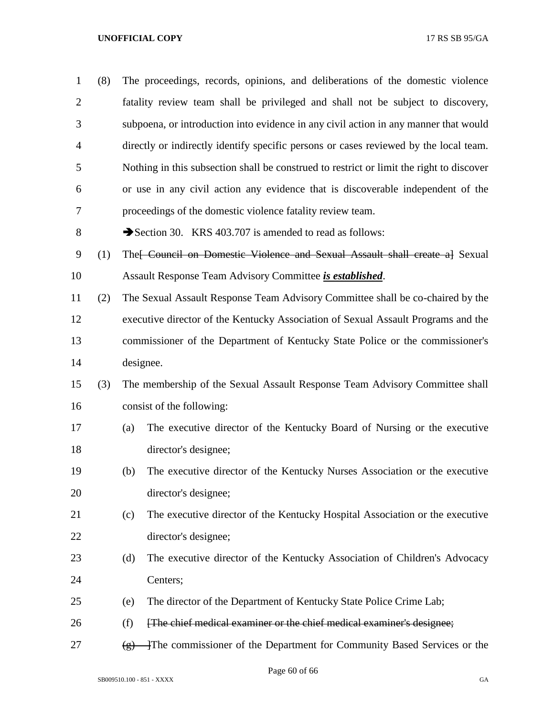| $\mathbf{1}$   | (8) |                       | The proceedings, records, opinions, and deliberations of the domestic violence           |
|----------------|-----|-----------------------|------------------------------------------------------------------------------------------|
| $\overline{2}$ |     |                       | fatality review team shall be privileged and shall not be subject to discovery,          |
| 3              |     |                       | subpoena, or introduction into evidence in any civil action in any manner that would     |
| $\overline{4}$ |     |                       | directly or indirectly identify specific persons or cases reviewed by the local team.    |
| 5              |     |                       | Nothing in this subsection shall be construed to restrict or limit the right to discover |
| 6              |     |                       | or use in any civil action any evidence that is discoverable independent of the          |
| 7              |     |                       | proceedings of the domestic violence fatality review team.                               |
| 8              |     |                       | Section 30. KRS 403.707 is amended to read as follows:                                   |
| 9              | (1) |                       | The FCouncil on Domestic Violence and Sexual Assault shall create al Sexual              |
| 10             |     |                       | Assault Response Team Advisory Committee is established.                                 |
| 11             | (2) |                       | The Sexual Assault Response Team Advisory Committee shall be co-chaired by the           |
| 12             |     |                       | executive director of the Kentucky Association of Sexual Assault Programs and the        |
| 13             |     |                       | commissioner of the Department of Kentucky State Police or the commissioner's            |
| 14             |     |                       | designee.                                                                                |
| 15             | (3) |                       | The membership of the Sexual Assault Response Team Advisory Committee shall              |
| 16             |     |                       | consist of the following:                                                                |
| 17             |     | (a)                   | The executive director of the Kentucky Board of Nursing or the executive                 |
| 18             |     |                       | director's designee;                                                                     |
| 19             |     | (b)                   | The executive director of the Kentucky Nurses Association or the executive               |
| 20             |     |                       | director's designee;                                                                     |
| 21             |     | (c)                   | The executive director of the Kentucky Hospital Association or the executive             |
| 22             |     |                       | director's designee;                                                                     |
| 23             |     | (d)                   | The executive director of the Kentucky Association of Children's Advocacy                |
| 24             |     |                       | Centers;                                                                                 |
| 25             |     | (e)                   | The director of the Department of Kentucky State Police Crime Lab;                       |
| 26             |     | (f)                   | [The chief medical examiner or the chief medical examiner's designee;                    |
| 27             |     | $\left( \rho \right)$ | The commissioner of the Department for Community Based Services or the                   |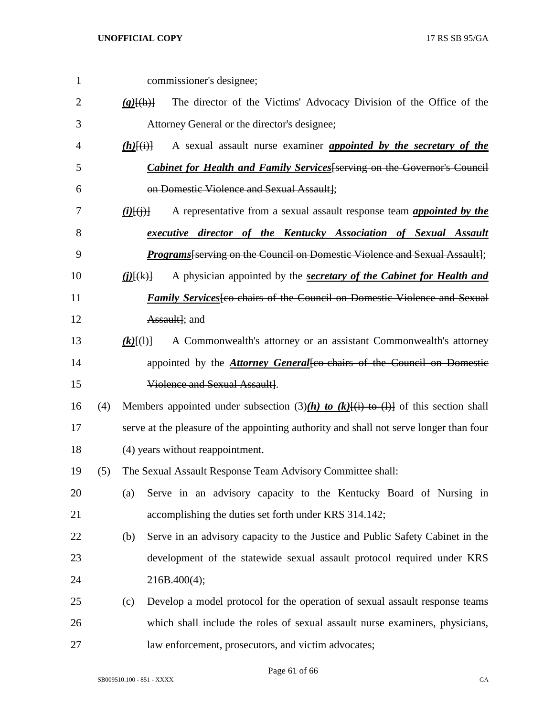commissioner's designee; *(g)*[(h)] The director of the Victims' Advocacy Division of the Office of the Attorney General or the director's designee; *(h)*[(i)] A sexual assault nurse examiner *appointed by the secretary of the Cabinet for Health and Family Services*[serving on the Governor's Council on Domestic Violence and Sexual Assault]; *(i)*[(j)] A representative from a sexual assault response team *appointed by the executive director of the Kentucky Association of Sexual Assault Programs*[serving on the Council on Domestic Violence and Sexual Assault]; *(j)*[(k)] A physician appointed by the *secretary of the Cabinet for Health and Family Services*[co-chairs of the Council on Domestic Violence and Sexual **Assaulti**: and *(k)* $\{\{\}\}$  A Commonwealth's attorney or an assistant Commonwealth's attorney 14 appointed by the *Attorney General* [co-chairs of the Council on Domestic Violence and Sexual Assault]. 16 (4) Members appointed under subsection  $(3)(h)$  to  $(k)$ <del>[(i) to (l)]</del> of this section shall serve at the pleasure of the appointing authority and shall not serve longer than four (4) years without reappointment. (5) The Sexual Assault Response Team Advisory Committee shall: (a) Serve in an advisory capacity to the Kentucky Board of Nursing in accomplishing the duties set forth under KRS 314.142; (b) Serve in an advisory capacity to the Justice and Public Safety Cabinet in the development of the statewide sexual assault protocol required under KRS 216B.400(4); (c) Develop a model protocol for the operation of sexual assault response teams which shall include the roles of sexual assault nurse examiners, physicians, law enforcement, prosecutors, and victim advocates;

Page 61 of 66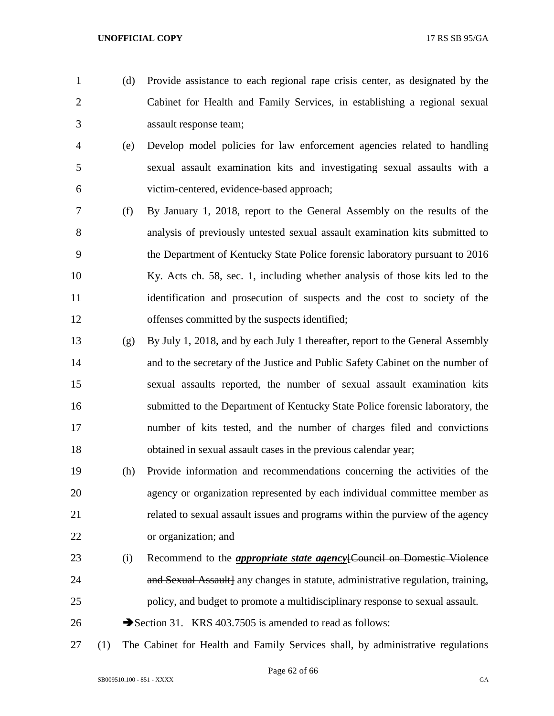- (d) Provide assistance to each regional rape crisis center, as designated by the Cabinet for Health and Family Services, in establishing a regional sexual assault response team;
- (e) Develop model policies for law enforcement agencies related to handling sexual assault examination kits and investigating sexual assaults with a victim-centered, evidence-based approach;
- (f) By January 1, 2018, report to the General Assembly on the results of the analysis of previously untested sexual assault examination kits submitted to the Department of Kentucky State Police forensic laboratory pursuant to 2016 Ky. Acts ch. 58, sec. 1, including whether analysis of those kits led to the identification and prosecution of suspects and the cost to society of the offenses committed by the suspects identified;
- (g) By July 1, 2018, and by each July 1 thereafter, report to the General Assembly and to the secretary of the Justice and Public Safety Cabinet on the number of sexual assaults reported, the number of sexual assault examination kits submitted to the Department of Kentucky State Police forensic laboratory, the number of kits tested, and the number of charges filed and convictions obtained in sexual assault cases in the previous calendar year;
- (h) Provide information and recommendations concerning the activities of the agency or organization represented by each individual committee member as related to sexual assault issues and programs within the purview of the agency or organization; and
- (i) Recommend to the *appropriate state agency*[Council on Domestic Violence **and Sexual Assault** any changes in statute, administrative regulation, training, policy, and budget to promote a multidisciplinary response to sexual assault.
- 26 Section 31. KRS 403.7505 is amended to read as follows:
- (1) The Cabinet for Health and Family Services shall, by administrative regulations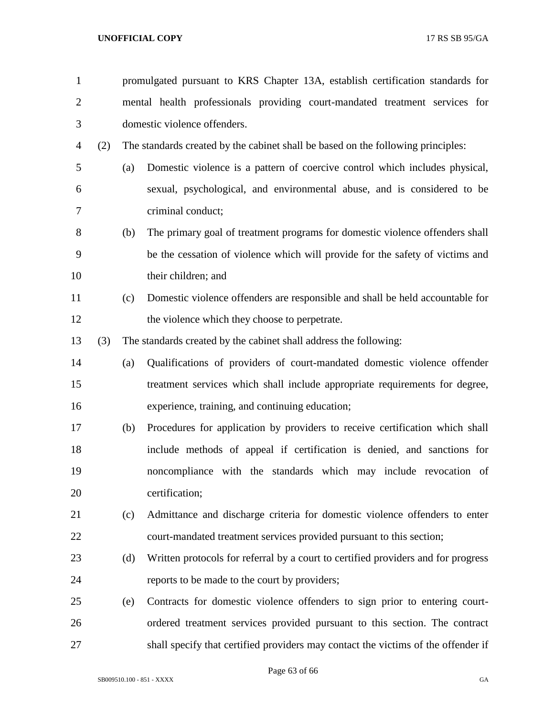| $\mathbf{1}$   |     |     | promulgated pursuant to KRS Chapter 13A, establish certification standards for    |
|----------------|-----|-----|-----------------------------------------------------------------------------------|
| $\overline{2}$ |     |     | mental health professionals providing court-mandated treatment services for       |
| 3              |     |     | domestic violence offenders.                                                      |
| 4              | (2) |     | The standards created by the cabinet shall be based on the following principles:  |
| 5              |     | (a) | Domestic violence is a pattern of coercive control which includes physical,       |
| 6              |     |     | sexual, psychological, and environmental abuse, and is considered to be           |
| 7              |     |     | criminal conduct;                                                                 |
| 8              |     | (b) | The primary goal of treatment programs for domestic violence offenders shall      |
| 9              |     |     | be the cessation of violence which will provide for the safety of victims and     |
| 10             |     |     | their children; and                                                               |
| 11             |     | (c) | Domestic violence offenders are responsible and shall be held accountable for     |
| 12             |     |     | the violence which they choose to perpetrate.                                     |
| 13             | (3) |     | The standards created by the cabinet shall address the following:                 |
| 14             |     | (a) | Qualifications of providers of court-mandated domestic violence offender          |
| 15             |     |     | treatment services which shall include appropriate requirements for degree,       |
| 16             |     |     | experience, training, and continuing education;                                   |
| 17             |     | (b) | Procedures for application by providers to receive certification which shall      |
| 18             |     |     | include methods of appeal if certification is denied, and sanctions for           |
| 19             |     |     | noncompliance with the standards which may include revocation of                  |
| 20             |     |     | certification;                                                                    |
| 21             |     | (c) | Admittance and discharge criteria for domestic violence offenders to enter        |
| 22             |     |     | court-mandated treatment services provided pursuant to this section;              |
| 23             |     | (d) | Written protocols for referral by a court to certified providers and for progress |
| 24             |     |     | reports to be made to the court by providers;                                     |
| 25             |     | (e) | Contracts for domestic violence offenders to sign prior to entering court-        |
| 26             |     |     | ordered treatment services provided pursuant to this section. The contract        |
| 27             |     |     | shall specify that certified providers may contact the victims of the offender if |

Page 63 of 66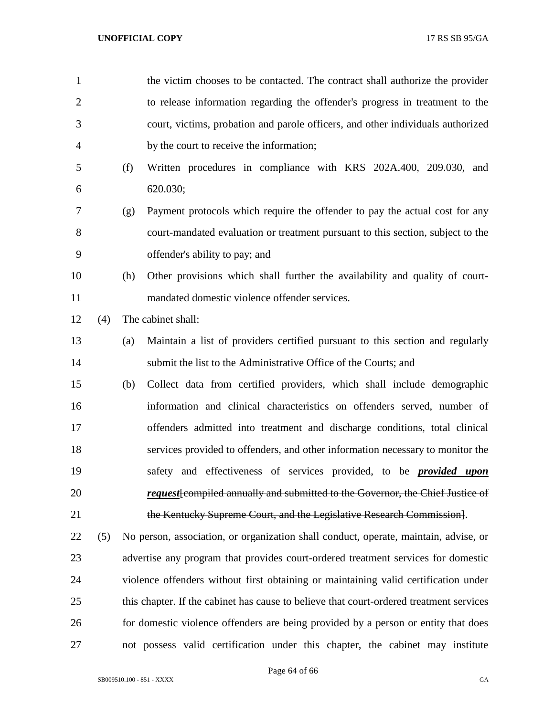| $\mathbf{1}$   |     |     | the victim chooses to be contacted. The contract shall authorize the provider           |
|----------------|-----|-----|-----------------------------------------------------------------------------------------|
| $\overline{2}$ |     |     | to release information regarding the offender's progress in treatment to the            |
| 3              |     |     | court, victims, probation and parole officers, and other individuals authorized         |
| $\overline{4}$ |     |     | by the court to receive the information;                                                |
| 5              |     | (f) | Written procedures in compliance with KRS 202A.400, 209.030, and                        |
| 6              |     |     | 620.030;                                                                                |
| 7              |     | (g) | Payment protocols which require the offender to pay the actual cost for any             |
| 8              |     |     | court-mandated evaluation or treatment pursuant to this section, subject to the         |
| 9              |     |     | offender's ability to pay; and                                                          |
| 10             |     | (h) | Other provisions which shall further the availability and quality of court-             |
| 11             |     |     | mandated domestic violence offender services.                                           |
| 12             | (4) |     | The cabinet shall:                                                                      |
| 13             |     | (a) | Maintain a list of providers certified pursuant to this section and regularly           |
| 14             |     |     | submit the list to the Administrative Office of the Courts; and                         |
| 15             |     | (b) | Collect data from certified providers, which shall include demographic                  |
| 16             |     |     | information and clinical characteristics on offenders served, number of                 |
| 17             |     |     | offenders admitted into treatment and discharge conditions, total clinical              |
| 18             |     |     | services provided to offenders, and other information necessary to monitor the          |
| 19             |     |     | safety and effectiveness of services provided, to be <i>provided upon</i>               |
| 20             |     |     | <i>request</i> from putter and resonance to the Governor, the Chief Justice of          |
| 21             |     |     | the Kentucky Supreme Court, and the Legislative Research Commission].                   |
| 22             | (5) |     | No person, association, or organization shall conduct, operate, maintain, advise, or    |
| 23             |     |     | advertise any program that provides court-ordered treatment services for domestic       |
| 24             |     |     | violence offenders without first obtaining or maintaining valid certification under     |
| 25             |     |     | this chapter. If the cabinet has cause to believe that court-ordered treatment services |
| 26             |     |     | for domestic violence offenders are being provided by a person or entity that does      |
| 27             |     |     | not possess valid certification under this chapter, the cabinet may institute           |

Page 64 of 66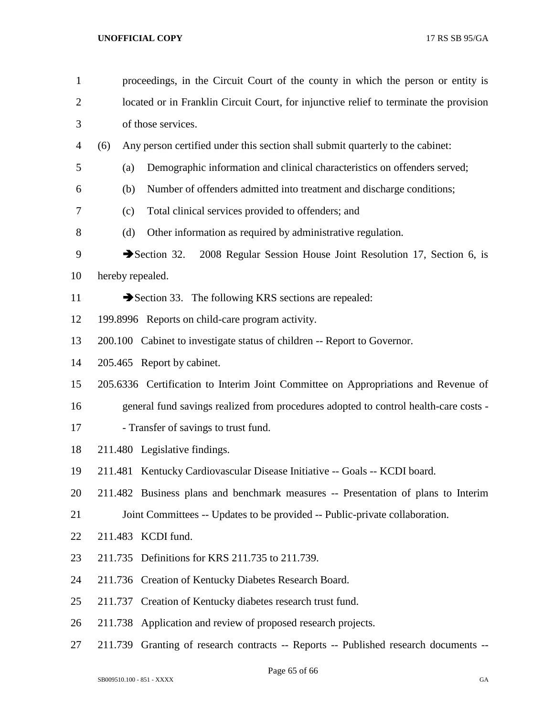| $\mathbf{1}$   | proceedings, in the Circuit Court of the county in which the person or entity is        |  |  |  |  |
|----------------|-----------------------------------------------------------------------------------------|--|--|--|--|
| $\overline{2}$ | located or in Franklin Circuit Court, for injunctive relief to terminate the provision  |  |  |  |  |
| 3              | of those services.                                                                      |  |  |  |  |
| 4              | Any person certified under this section shall submit quarterly to the cabinet:<br>(6)   |  |  |  |  |
| 5              | Demographic information and clinical characteristics on offenders served;<br>(a)        |  |  |  |  |
| 6              | Number of offenders admitted into treatment and discharge conditions;<br>(b)            |  |  |  |  |
| 7              | Total clinical services provided to offenders; and<br>(c)                               |  |  |  |  |
| 8              | Other information as required by administrative regulation.<br>(d)                      |  |  |  |  |
| 9              | Section $32$ .<br>2008 Regular Session House Joint Resolution 17, Section 6, is         |  |  |  |  |
| 10             | hereby repealed.                                                                        |  |  |  |  |
| 11             | Section 33. The following KRS sections are repealed:                                    |  |  |  |  |
| 12             | 199.8996 Reports on child-care program activity.                                        |  |  |  |  |
| 13             | 200.100 Cabinet to investigate status of children -- Report to Governor.                |  |  |  |  |
| 14             | 205.465 Report by cabinet.                                                              |  |  |  |  |
| 15             | 205.6336 Certification to Interim Joint Committee on Appropriations and Revenue of      |  |  |  |  |
| 16             | general fund savings realized from procedures adopted to control health-care costs -    |  |  |  |  |
| 17             | - Transfer of savings to trust fund.                                                    |  |  |  |  |
| 18             | 211.480 Legislative findings.                                                           |  |  |  |  |
| 19             | 211.481 Kentucky Cardiovascular Disease Initiative -- Goals -- KCDI board.              |  |  |  |  |
| 20             | 211.482 Business plans and benchmark measures -- Presentation of plans to Interim       |  |  |  |  |
| 21             | Joint Committees -- Updates to be provided -- Public-private collaboration.             |  |  |  |  |
| 22             | 211.483 KCDI fund.                                                                      |  |  |  |  |
| 23             | 211.735 Definitions for KRS 211.735 to 211.739.                                         |  |  |  |  |
| 24             | 211.736 Creation of Kentucky Diabetes Research Board.                                   |  |  |  |  |
| 25             | Creation of Kentucky diabetes research trust fund.<br>211.737                           |  |  |  |  |
| 26             | Application and review of proposed research projects.<br>211.738                        |  |  |  |  |
| 27             | Granting of research contracts -- Reports -- Published research documents --<br>211.739 |  |  |  |  |

Page 65 of 66